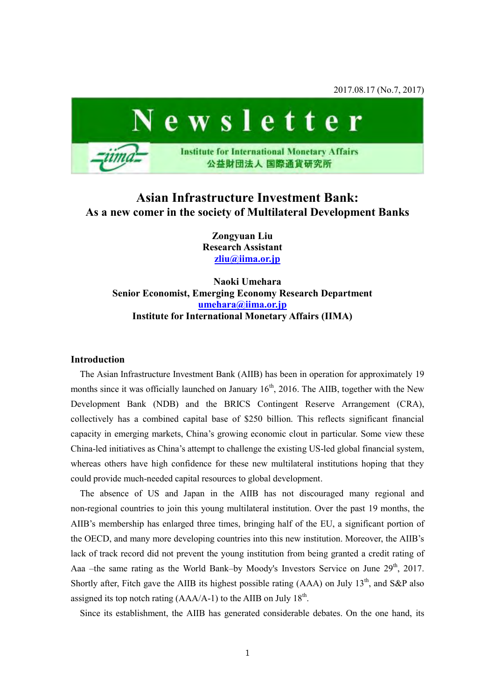2017.08.17 (No.7, 2017)



# **Asian Infrastructure Investment Bank: As a new comer in the society of Multilateral Development Banks**

**Zongyuan Liu Research Assistant [zliu@iima.or.jp](mailto:zliu@iima.or.jp)**

**Naoki Umehara Senior Economist, Emerging Economy Research Department [umehara@iima.or.jp](mailto:umehara@iima.or.jp)  Institute for International Monetary Affairs (IIMA)** 

### **Introduction**

The Asian Infrastructure Investment Bank (AIIB) has been in operation for approximately 19 months since it was officially launched on January  $16<sup>th</sup>$ , 2016. The AIIB, together with the New Development Bank (NDB) and the BRICS Contingent Reserve Arrangement (CRA), collectively has a combined capital base of \$250 billion. This reflects significant financial capacity in emerging markets, China's growing economic clout in particular. Some view these China-led initiatives as China's attempt to challenge the existing US-led global financial system, whereas others have high confidence for these new multilateral institutions hoping that they could provide much-needed capital resources to global development.

The absence of US and Japan in the AIIB has not discouraged many regional and non-regional countries to join this young multilateral institution. Over the past 19 months, the AIIB's membership has enlarged three times, bringing half of the EU, a significant portion of the OECD, and many more developing countries into this new institution. Moreover, the AIIB's lack of track record did not prevent the young institution from being granted a credit rating of Aaa –the same rating as the World Bank–by Moody's Investors Service on June 29<sup>th</sup>, 2017. Shortly after, Fitch gave the AIIB its highest possible rating (AAA) on July  $13<sup>th</sup>$ , and S&P also assigned its top notch rating  $(AAA/A-1)$  to the AIIB on July 18<sup>th</sup>.

Since its establishment, the AIIB has generated considerable debates. On the one hand, its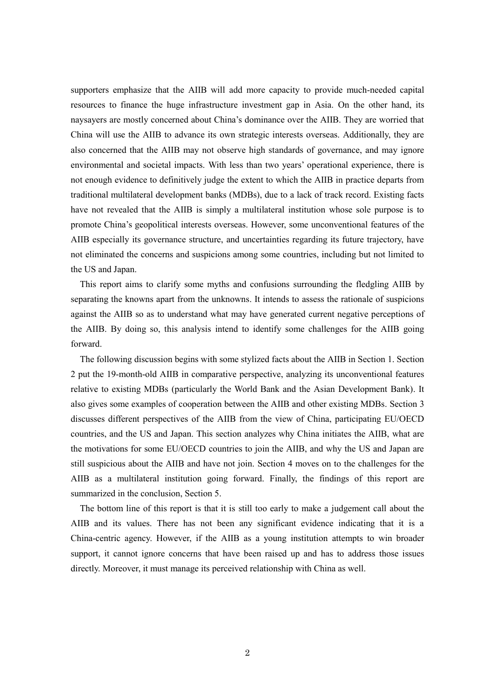supporters emphasize that the AIIB will add more capacity to provide much-needed capital resources to finance the huge infrastructure investment gap in Asia. On the other hand, its naysayers are mostly concerned about China's dominance over the AIIB. They are worried that China will use the AIIB to advance its own strategic interests overseas. Additionally, they are also concerned that the AIIB may not observe high standards of governance, and may ignore environmental and societal impacts. With less than two years' operational experience, there is not enough evidence to definitively judge the extent to which the AIIB in practice departs from traditional multilateral development banks (MDBs), due to a lack of track record. Existing facts have not revealed that the AIIB is simply a multilateral institution whose sole purpose is to promote China's geopolitical interests overseas. However, some unconventional features of the AIIB especially its governance structure, and uncertainties regarding its future trajectory, have not eliminated the concerns and suspicions among some countries, including but not limited to the US and Japan.

This report aims to clarify some myths and confusions surrounding the fledgling AIIB by separating the knowns apart from the unknowns. It intends to assess the rationale of suspicions against the AIIB so as to understand what may have generated current negative perceptions of the AIIB. By doing so, this analysis intend to identify some challenges for the AIIB going forward.

The following discussion begins with some stylized facts about the AIIB in Section 1. Section 2 put the 19-month-old AIIB in comparative perspective, analyzing its unconventional features relative to existing MDBs (particularly the World Bank and the Asian Development Bank). It also gives some examples of cooperation between the AIIB and other existing MDBs. Section 3 discusses different perspectives of the AIIB from the view of China, participating EU/OECD countries, and the US and Japan. This section analyzes why China initiates the AIIB, what are the motivations for some EU/OECD countries to join the AIIB, and why the US and Japan are still suspicious about the AIIB and have not join. Section 4 moves on to the challenges for the AIIB as a multilateral institution going forward. Finally, the findings of this report are summarized in the conclusion, Section 5.

The bottom line of this report is that it is still too early to make a judgement call about the AIIB and its values. There has not been any significant evidence indicating that it is a China-centric agency. However, if the AIIB as a young institution attempts to win broader support, it cannot ignore concerns that have been raised up and has to address those issues directly. Moreover, it must manage its perceived relationship with China as well.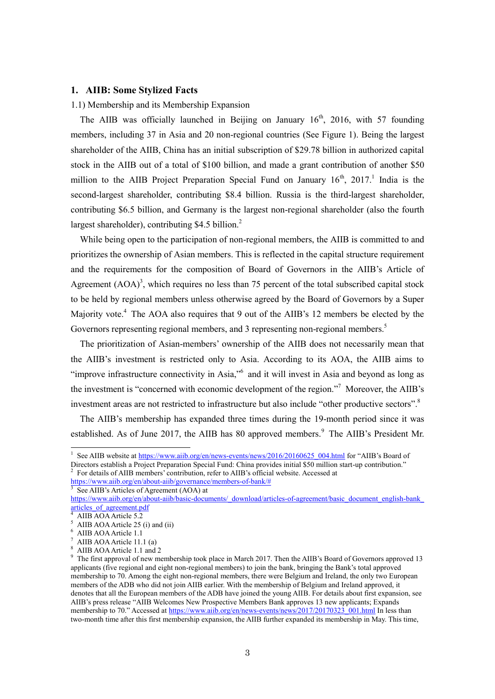### **1. AIIB: Some Stylized Facts**

#### 1.1) Membership and its Membership Expansion

The AIIB was officially launched in Beijing on January  $16<sup>th</sup>$ , 2016, with 57 founding members, including 37 in Asia and 20 non-regional countries (See Figure 1). Being the largest shareholder of the AIIB, China has an initial subscription of \$29.78 billion in authorized capital stock in the AIIB out of a total of \$100 billion, and made a grant contribution of another \$50 million to the AIIB Project Preparation Special Fund on January  $16<sup>th</sup>$ , 2017.<sup>1</sup> India is the second-largest shareholder, contributing \$8.4 billion. Russia is the third-largest shareholder, contributing \$6.5 billion, and Germany is the largest non-regional shareholder (also the fourth largest shareholder), contributing \$4.5 billion.<sup>2</sup>

While being open to the participation of non-regional members, the AIIB is committed to and prioritizes the ownership of Asian members. This is reflected in the capital structure requirement and the requirements for the composition of Board of Governors in the AIIB's Article of Agreement  $(AOA)^3$ , which requires no less than 75 percent of the total subscribed capital stock to be held by regional members unless otherwise agreed by the Board of Governors by a Super Majority vote.<sup>4</sup> The AOA also requires that 9 out of the AIIB's 12 members be elected by the Governors representing regional members, and 3 representing non-regional members.<sup>5</sup>

The prioritization of Asian-members' ownership of the AIIB does not necessarily mean that the AIIB's investment is restricted only to Asia. According to its AOA, the AIIB aims to "improve infrastructure connectivity in Asia,"<sup>6</sup> and it will invest in Asia and beyond as long as the investment is "concerned with economic development of the region."<sup>7</sup> Moreover, the AIIB's investment areas are not restricted to infrastructure but also include "other productive sectors".<sup>8</sup>

The AIIB's membership has expanded three times during the 19-month period since it was established. As of June 2017, the AIIB has 80 approved members.<sup>9</sup> The AIIB's President Mr.

[https://www.aiib.org/en/about-aiib/governance/members-of-bank/#](https://www.aiib.org/en/about-aiib/governance/members-of-bank/) 

<sup>&</sup>lt;sup>1</sup> See AIIB website a[t https://www.aiib.org/en/news-events/news/2016/20160625\\_004.html](https://www.aiib.org/en/news-events/news/2016/20160625_004.html) for "AIIB's Board of Directors establish a Project Preparation Special Fund: China provides initial \$50 million start-up contribution."

<sup>2</sup> For details of AIIB members' contribution, refer to AIIB's official website. Accessed at

<sup>3</sup> See AIIB's Articles of Agreement (AOA) at

[https://www.aiib.org/en/about-aiib/basic-documents/\\_download/articles-of-agreement/basic\\_document\\_english-bank\\_](https://www.aiib.org/en/about-aiib/basic-documents/_download/articles-of-agreement/basic_document_english-bank_articles_of_agreement.pdf) [articles\\_of\\_agreement.pdf](https://www.aiib.org/en/about-aiib/basic-documents/_download/articles-of-agreement/basic_document_english-bank_articles_of_agreement.pdf)

<sup>4</sup> AIIB AOA Article 5.2

<sup>5</sup> AIIB AOA Article 25 (i) and (ii)

<sup>6</sup> AIIB AOA Article 1.1

<sup>7</sup> AIIB AOA Article 11.1 (a)

<sup>8</sup> AIIB AOA Article 1.1 and 2

<sup>&</sup>lt;sup>9</sup> The first approval of new membership took place in March 2017. Then the AIIB's Board of Governors approved 13 applicants (five regional and eight non-regional members) to join the bank, bringing the Bank's total approved membership to 70. Among the eight non-regional members, there were Belgium and Ireland, the only two European members of the ADB who did not join AIIB earlier. With the membership of Belgium and Ireland approved, it denotes that all the European members of the ADB have joined the young AIIB. For details about first expansion, see AIIB's press release "AIIB Welcomes New Prospective Members Bank approves 13 new applicants; Expands membership to 70." Accessed at [https://www.aiib.org/en/news-events/news/2017/20170323\\_001.html I](https://www.aiib.org/en/news-events/news/2017/20170323_001.html)n less than two-month time after this first membership expansion, the AIIB further expanded its membership in May. This time,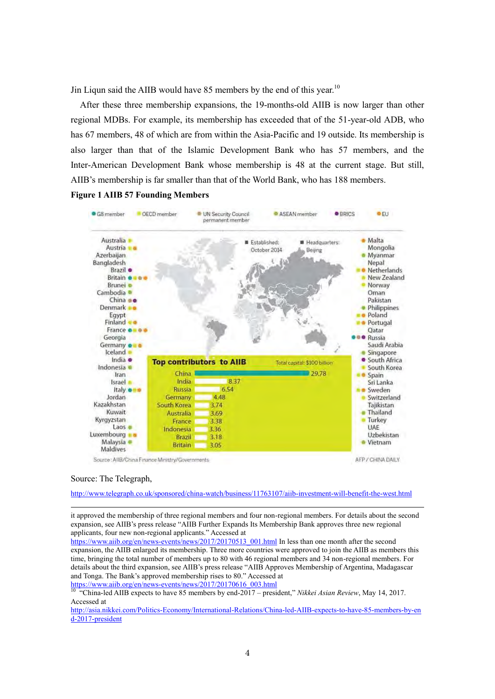Jin Liqun said the AIIB would have 85 members by the end of this year.<sup>10</sup>

After these three membership expansions, the 19-months-old AIIB is now larger than other regional MDBs. For example, its membership has exceeded that of the 51-year-old ADB, who has 67 members, 48 of which are from within the Asia-Pacific and 19 outside. Its membership is also larger than that of the Islamic Development Bank who has 57 members, and the Inter-American Development Bank whose membership is 48 at the current stage. But still, AIIB's membership is far smaller than that of the World Bank, who has 188 members.

**Figure 1 AIIB 57 Founding Members** 



Source: The Telegraph,

-

<http://www.telegraph.co.uk/sponsored/china-watch/business/11763107/aiib-investment-will-benefit-the-west.html>

it approved the membership of three regional members and four non-regional members. For details about the second expansion, see AIIB's press release "AIIB Further Expands Its Membership Bank approves three new regional applicants, four new non-regional applicants." Accessed at

[https://www.aiib.org/en/news-events/news/2017/20170513\\_001.html I](https://www.aiib.org/en/news-events/news/2017/20170513_001.html)n less than one month after the second expansion, the AIIB enlarged its membership. Three more countries were approved to join the AIIB as members this time, bringing the total number of members up to 80 with 46 regional members and 34 non-regional members. For details about the third expansion, see AIIB's press release "AIIB Approves Membership of Argentina, Madagascar and Tonga. The Bank's approved membership rises to 80." Accessed at

https://www.aiib.org/en/news-events/news/2017/20170616\_003.html<br>10.6China.html

<sup>10</sup> "China-led AIIB expects to have 85 members by end-2017 – president," *Nikkei Asian Review*, May 14, 2017. Accessed at

[http://asia.nikkei.com/Politics-Economy/International-Relations/China-led-AIIB-expects-to-have-85-members-by-en](http://asia.nikkei.com/Politics-Economy/International-Relations/China-led-AIIB-expects-to-have-85-members-by-end-2017-president) [d-2017-president](http://asia.nikkei.com/Politics-Economy/International-Relations/China-led-AIIB-expects-to-have-85-members-by-end-2017-president)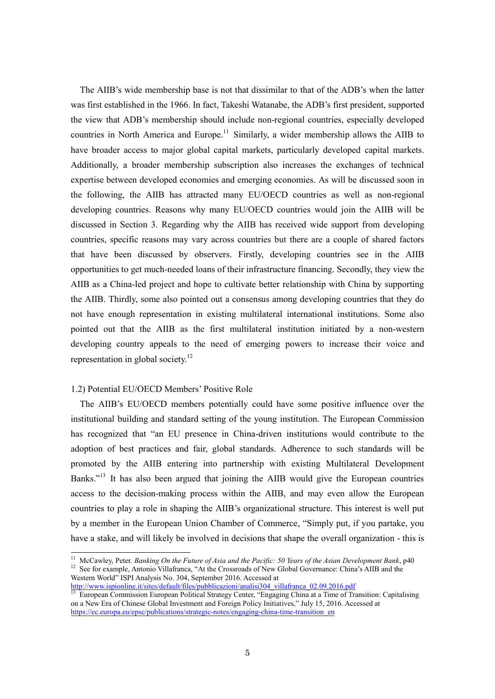The AIIB's wide membership base is not that dissimilar to that of the ADB's when the latter was first established in the 1966. In fact, Takeshi Watanabe, the ADB's first president, supported the view that ADB's membership should include non-regional countries, especially developed countries in North America and Europe.<sup>11</sup> Similarly, a wider membership allows the AIIB to have broader access to major global capital markets, particularly developed capital markets. Additionally, a broader membership subscription also increases the exchanges of technical expertise between developed economies and emerging economies. As will be discussed soon in the following, the AIIB has attracted many EU/OECD countries as well as non-regional developing countries. Reasons why many EU/OECD countries would join the AIIB will be discussed in Section 3. Regarding why the AIIB has received wide support from developing countries, specific reasons may vary across countries but there are a couple of shared factors that have been discussed by observers. Firstly, developing countries see in the AIIB opportunities to get much-needed loans of their infrastructure financing. Secondly, they view the AIIB as a China-led project and hope to cultivate better relationship with China by supporting the AIIB. Thirdly, some also pointed out a consensus among developing countries that they do not have enough representation in existing multilateral international institutions. Some also pointed out that the AIIB as the first multilateral institution initiated by a non-western developing country appeals to the need of emerging powers to increase their voice and representation in global society.<sup>12</sup>

#### 1.2) Potential EU/OECD Members' Positive Role

-

The AIIB's EU/OECD members potentially could have some positive influence over the institutional building and standard setting of the young institution. The European Commission has recognized that "an EU presence in China-driven institutions would contribute to the adoption of best practices and fair, global standards. Adherence to such standards will be promoted by the AIIB entering into partnership with existing Multilateral Development Banks."<sup>13</sup> It has also been argued that joining the AIIB would give the European countries access to the decision-making process within the AIIB, and may even allow the European countries to play a role in shaping the AIIB's organizational structure. This interest is well put by a member in the European Union Chamber of Commerce, "Simply put, if you partake, you have a stake, and will likely be involved in decisions that shape the overall organization - this is

http://www.ispionline.it/sites/default/files/pubblicazioni/analisi304\_villafranca\_02.09.2016.pdf<br>
<sup>13</sup> European Commission F

<sup>11</sup> McCawley, Peter. *Banking On the Future of Asia and the Pacific: 50 Years of the Asian Development Bank*, p40 <sup>12</sup> See for example, Antonio Villafranca, "At the Crossroads of New Global Governance: China's AIIB and the Western World" ISPI Analysis No. 304, September 2016. Accessed at

<sup>13</sup> European Commission European Political Strategy Center, "Engaging China at a Time of Transition: Capitalising on a New Era of Chinese Global Investment and Foreign Policy Initiatives," July 15, 2016. Accessed at [https://ec.europa.eu/epsc/publications/strategic-notes/engaging-china-time-transition\\_en](https://ec.europa.eu/epsc/publications/strategic-notes/engaging-china-time-transition_en)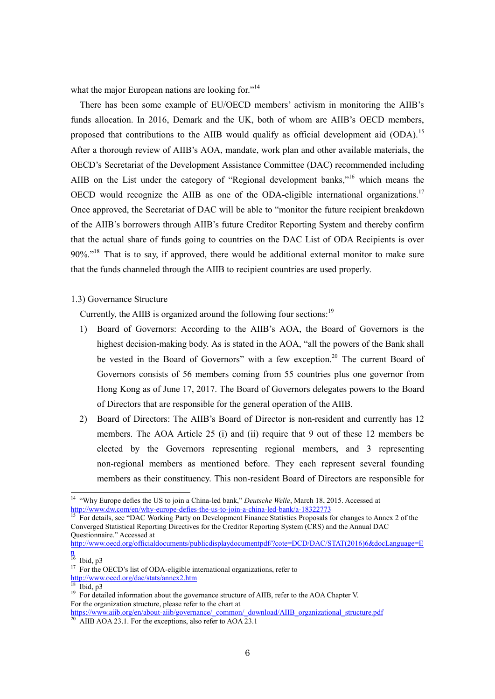what the major European nations are looking for."<sup>14</sup>

There has been some example of EU/OECD members' activism in monitoring the AIIB's funds allocation. In 2016, Demark and the UK, both of whom are AIIB's OECD members, proposed that contributions to the AIIB would qualify as official development aid (ODA).<sup>15</sup> After a thorough review of AIIB's AOA, mandate, work plan and other available materials, the OECD's Secretariat of the Development Assistance Committee (DAC) recommended including AIIB on the List under the category of "Regional development banks,"<sup>16</sup> which means the OECD would recognize the AIIB as one of the ODA-eligible international organizations.<sup>17</sup> Once approved, the Secretariat of DAC will be able to "monitor the future recipient breakdown of the AIIB's borrowers through AIIB's future Creditor Reporting System and thereby confirm that the actual share of funds going to countries on the DAC List of ODA Recipients is over 90%."<sup>18</sup> That is to say, if approved, there would be additional external monitor to make sure that the funds channeled through the AIIB to recipient countries are used properly.

#### 1.3) Governance Structure

Currently, the AIIB is organized around the following four sections:<sup>19</sup>

- 1) Board of Governors: According to the AIIB's AOA, the Board of Governors is the highest decision-making body. As is stated in the AOA, "all the powers of the Bank shall be vested in the Board of Governors" with a few exception.<sup>20</sup> The current Board of Governors consists of 56 members coming from 55 countries plus one governor from Hong Kong as of June 17, 2017. The Board of Governors delegates powers to the Board of Directors that are responsible for the general operation of the AIIB.
- 2) Board of Directors: The AIIB's Board of Director is non-resident and currently has 12 members. The AOA Article 25 (i) and (ii) require that 9 out of these 12 members be elected by the Governors representing regional members, and 3 representing non-regional members as mentioned before. They each represent several founding members as their constituency. This non-resident Board of Directors are responsible for

[http://www.oecd.org/officialdocuments/publicdisplaydocumentpdf/?cote=DCD/DAC/STAT\(2016\)6&docLanguage=E](http://www.oecd.org/officialdocuments/publicdisplaydocumentpdf/?cote=DCD/DAC/STAT(2016)6&docLanguage=En) [n](http://www.oecd.org/officialdocuments/publicdisplaydocumentpdf/?cote=DCD/DAC/STAT(2016)6&docLanguage=En) 

<sup>&</sup>lt;sup>14</sup> "Why Europe defies the US to join a China-led bank," *Deutsche Welle*, March 18, 2015. Accessed at http://www.dw.com/en/why-europe-defies-the-us-to-join-a-china-led-bank/a-18322773

<sup>&</sup>lt;sup>15</sup> For details, see "DAC Working Party on Development Finance Statistics Proposals for changes to Annex 2 of the Converged Statistical Reporting Directives for the Creditor Reporting System (CRS) and the Annual DAC Questionnaire." Accessed at

 $16$  Ibid, p3

<sup>&</sup>lt;sup>17</sup> For the OECD's list of ODA-eligible international organizations, refer to

<http://www.oecd.org/dac/stats/annex2.htm>

 $18$  Ibid, p3

<sup>&</sup>lt;sup>19</sup> For detailed information about the governance structure of AIIB, refer to the AOA Chapter V. For the organization structure, please refer to the chart at

[https://www.aiib.org/en/about-aiib/governance/\\_common/\\_download/AIIB\\_organizational\\_structure.pdf](https://www.aiib.org/en/about-aiib/governance/_common/_download/AIIB_organizational_structure.pdf)  $20$  AIIB AOA 23.1. For the exceptions, also refer to AOA 23.1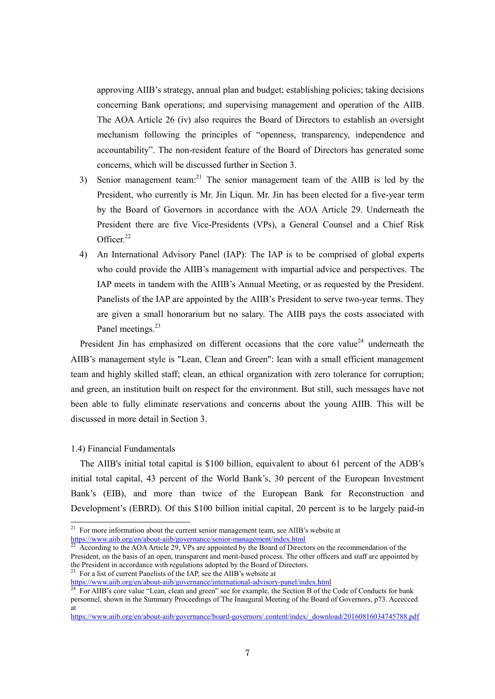approving AIIB's strategy, annual plan and budget; establishing policies; taking decisions concerning Bank operations; and supervising management and operation of the AIIB. The AOA Article 26 (iv) also requires the Board of Directors to establish an oversight mechanism following the principles of "openness, transparency, independence and accountability". The non-resident feature of the Board of Directors has generated some concerns, which will be discussed further in Section 3.

- 3) Senior management team:<sup>21</sup> The senior management team of the AIIB is led by the President, who currently is Mr. Jin Liqun. Mr. Jin has been elected for a five-year term by the Board of Governors in accordance with the AOA Article 29. Underneath the President there are five Vice-Presidents (VPs), a General Counsel and a Chief Risk Officer.<sup>22</sup>
- 4) An International Advisory Panel (IAP): The IAP is to be comprised of global experts who could provide the AIIB's management with impartial advice and perspectives. The IAP meets in tandem with the AIIB's Annual Meeting, or as requested by the President. Panelists of the IAP are appointed by the AIIB's President to serve two-year terms. They are given a small honorarium but no salary. The AIIB pays the costs associated with Panel meetings.<sup>23</sup>

President Jin has emphasized on different occasions that the core value<sup>24</sup> underneath the AIIB's management style is "Lean, Clean and Green": lean with a small efficient management team and highly skilled staff; clean, an ethical organization with zero tolerance for corruption; and green, an institution built on respect for the environment. But still, such messages have not been able to fully eliminate reservations and concerns about the young AIIB. This will be discussed in more detail in Section 3.

#### 1.4) Financial Fundamentals

-

The AIIB's initial total capital is \$100 billion, equivalent to about 61 percent of the ADB's initial total capital, 43 percent of the World Bank's, 30 percent of the European Investment Bank's (EIB), and more than twice of the European Bank for Reconstruction and Development's (EBRD). Of this \$100 billion initial capital, 20 percent is to be largely paid-in

According to the AOA Article 29, VPs are appointed by the Board of Directors on the recommendation of the President, on the basis of an open, transparent and merit-based process. The other officers and staff are appointed by the President in accordance with regulations adopted by the Board of Directors.  $^{23}$  For a list of current Panelists of the IAP, see the AIIB's website at

[https://www.aiib.org/en/about-aiib/governance/board-governors/.content/index/\\_download/20160816034745788.pdf](https://www.aiib.org/en/about-aiib/governance/board-governors/.content/index/_download/20160816034745788.pdf)

 $21$  For more information about the current senior management team, see AIIB's website at https://www.aiib.org/en/about-aiib/governance/senior-management/index.html<br>
<sup>22</sup> According to the AOAA is in 22.75

<https://www.aiib.org/en/about-aiib/governance/international-advisory-panel/index.html>

<sup>&</sup>lt;sup>24</sup> For AIIB's core value "Lean, clean and green" see for example, the Section B of the Code of Conducts for bank personnel, shown in the Summary Proceedings of The Inaugural Meeting of the Board of Governors, p73. Accecced at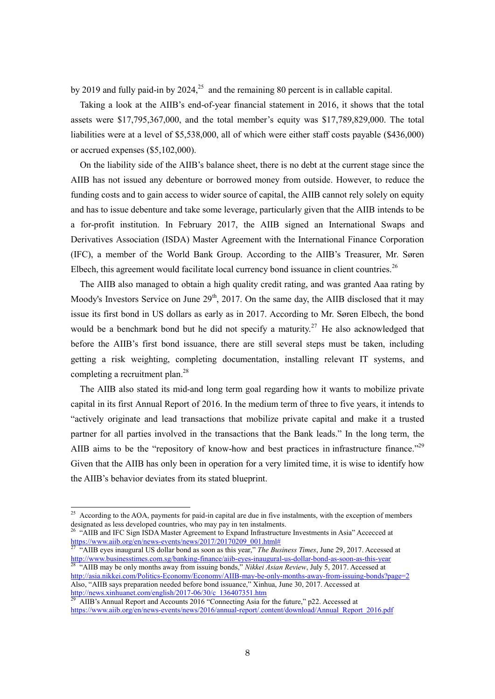by 2019 and fully paid-in by 2024, $25$  and the remaining 80 percent is in callable capital.

Taking a look at the AIIB's end-of-year financial statement in 2016, it shows that the total assets were \$17,795,367,000, and the total member's equity was \$17,789,829,000. The total liabilities were at a level of \$5,538,000, all of which were either staff costs payable (\$436,000) or accrued expenses (\$5,102,000).

On the liability side of the AIIB's balance sheet, there is no debt at the current stage since the AIIB has not issued any debenture or borrowed money from outside. However, to reduce the funding costs and to gain access to wider source of capital, the AIIB cannot rely solely on equity and has to issue debenture and take some leverage, particularly given that the AIIB intends to be a for-profit institution. In February 2017, the AIIB signed an International Swaps and Derivatives Association (ISDA) Master Agreement with the International Finance Corporation (IFC), a member of the World Bank Group. According to the AIIB's Treasurer, Mr. Søren Elbech, this agreement would facilitate local currency bond issuance in client countries.<sup>26</sup>

The AIIB also managed to obtain a high quality credit rating, and was granted Aaa rating by Moody's Investors Service on June  $29<sup>th</sup>$ , 2017. On the same day, the AIIB disclosed that it may issue its first bond in US dollars as early as in 2017. According to Mr. Søren Elbech, the bond would be a benchmark bond but he did not specify a maturity.<sup>27</sup> He also acknowledged that before the AIIB's first bond issuance, there are still several steps must be taken, including getting a risk weighting, completing documentation, installing relevant IT systems, and completing a recruitment plan.<sup>28</sup>

The AIIB also stated its mid-and long term goal regarding how it wants to mobilize private capital in its first Annual Report of 2016. In the medium term of three to five years, it intends to "actively originate and lead transactions that mobilize private capital and make it a trusted partner for all parties involved in the transactions that the Bank leads." In the long term, the AIIB aims to be the "repository of know-how and best practices in infrastructure finance."<sup>29</sup> Given that the AIIB has only been in operation for a very limited time, it is wise to identify how the AIIB's behavior deviates from its stated blueprint.

 $25$  According to the AOA, payments for paid-in capital are due in five instalments, with the exception of members designated as less developed countries, who may pay in ten instalments.

<sup>&</sup>lt;sup>26</sup> "AIIB and IFC Sign ISDA Master Agreement to Expand Infrastructure Investments in Asia" Accecced at [https://www.aiib.org/en/news-events/news/2017/20170209\\_001.html#](https://www.aiib.org/en/news-events/news/2017/20170209_001.html)

<sup>&</sup>lt;sup>27</sup> "AIIB eyes inaugural US dollar bond as soon as this year," *The Business Times*, June 29, 2017. Accessed at <http://www.businesstimes.com.sg/banking-finance/aiib-eyes-inaugural-us-dollar-bond-as-soon-as-this-year>

<sup>&</sup>lt;sup>28</sup> "AIIB may be only months away from issuing bonds," *Nikkei Asian Review*, July 5, 2017. Accessed at <http://asia.nikkei.com/Politics-Economy/Economy/AIIB-may-be-only-months-away-from-issuing-bonds?page=2> Also, "AIIB says preparation needed before bond issuance," Xinhua, June 30, 2017. Accessed at http://news.xinhuanet.com/english/2017-06/30/c\_136407351.htm

AIIB's Annual Report and Accounts 2016 "Connecting Asia for the future," p22. Accessed at [https://www.aiib.org/en/news-events/news/2016/annual-report/.content/download/Annual\\_Report\\_2016.pdf](https://www.aiib.org/en/news-events/news/2016/annual-report/.content/download/Annual_Report_2016.pdf)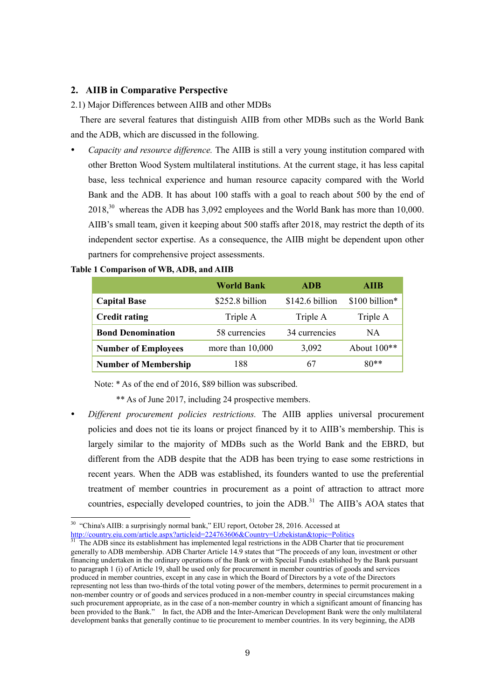### **2. AIIB in Comparative Perspective**

#### 2.1) Major Differences between AIIB and other MDBs

There are several features that distinguish AIIB from other MDBs such as the World Bank and the ADB, which are discussed in the following.

 *Capacity and resource difference.* The AIIB is still a very young institution compared with other Bretton Wood System multilateral institutions. At the current stage, it has less capital base, less technical experience and human resource capacity compared with the World Bank and the ADB. It has about 100 staffs with a goal to reach about 500 by the end of 2018,<sup>30</sup> whereas the ADB has 3,092 employees and the World Bank has more than 10,000. AIIB's small team, given it keeping about 500 staffs after 2018, may restrict the depth of its independent sector expertise. As a consequence, the AIIB might be dependent upon other partners for comprehensive project assessments.

|                             | <b>World Bank</b>  | <b>ADB</b>      | AIIB           |
|-----------------------------|--------------------|-----------------|----------------|
| <b>Capital Base</b>         | \$252.8 billion    | \$142.6 billion | \$100 billion* |
| <b>Credit rating</b>        | Triple A           | Triple A        | Triple A       |
| <b>Bond Denomination</b>    | 58 currencies      | 34 currencies   | NA.            |
| <b>Number of Employees</b>  | more than $10,000$ | 3,092           | About $100**$  |
| <b>Number of Membership</b> | 188                | 67              | $80**$         |

#### **Table 1 Comparison of WB, ADB, and AIIB**

-

Note: \* As of the end of 2016, \$89 billion was subscribed.

- \*\* As of June 2017, including 24 prospective members.
- *Different procurement policies restrictions.* The AIIB applies universal procurement policies and does not tie its loans or project financed by it to AIIB's membership. This is largely similar to the majority of MDBs such as the World Bank and the EBRD, but different from the ADB despite that the ADB has been trying to ease some restrictions in recent years. When the ADB was established, its founders wanted to use the preferential treatment of member countries in procurement as a point of attraction to attract more countries, especially developed countries, to join the ADB.<sup>31</sup> The AIIB's AOA states that

<sup>&</sup>lt;sup>30</sup> "China's AIIB: a surprisingly normal bank," EIU report, October 28, 2016. Accessed at

<http://country.eiu.com/article.aspx?articleid=224763606&Country=Uzbekistan&topic=Politics>

<sup>31</sup> The ADB since its establishment has implemented legal restrictions in the ADB Charter that tie procurement generally to ADB membership. ADB Charter Article 14.9 states that "The proceeds of any loan, investment or other financing undertaken in the ordinary operations of the Bank or with Special Funds established by the Bank pursuant to paragraph 1 (i) of Article 19, shall be used only for procurement in member countries of goods and services produced in member countries, except in any case in which the Board of Directors by a vote of the Directors representing not less than two-thirds of the total voting power of the members, determines to permit procurement in a non-member country or of goods and services produced in a non-member country in special circumstances making such procurement appropriate, as in the case of a non-member country in which a significant amount of financing has been provided to the Bank." In fact, the ADB and the Inter-American Development Bank were the only multilateral development banks that generally continue to tie procurement to member countries. In its very beginning, the ADB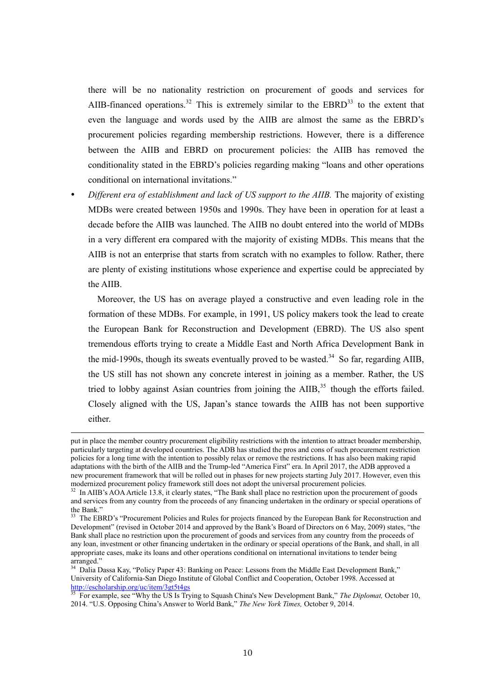there will be no nationality restriction on procurement of goods and services for AIIB-financed operations.<sup>32</sup> This is extremely similar to the EBRD<sup>33</sup> to the extent that even the language and words used by the AIIB are almost the same as the EBRD's procurement policies regarding membership restrictions. However, there is a difference between the AIIB and EBRD on procurement policies: the AIIB has removed the conditionality stated in the EBRD's policies regarding making "loans and other operations conditional on international invitations."

 *Different era of establishment and lack of US support to the AIIB.* The majority of existing MDBs were created between 1950s and 1990s. They have been in operation for at least a decade before the AIIB was launched. The AIIB no doubt entered into the world of MDBs in a very different era compared with the majority of existing MDBs. This means that the AIIB is not an enterprise that starts from scratch with no examples to follow. Rather, there are plenty of existing institutions whose experience and expertise could be appreciated by the AIIB.

Moreover, the US has on average played a constructive and even leading role in the formation of these MDBs. For example, in 1991, US policy makers took the lead to create the European Bank for Reconstruction and Development (EBRD). The US also spent tremendous efforts trying to create a Middle East and North Africa Development Bank in the mid-1990s, though its sweats eventually proved to be wasted.<sup>34</sup> So far, regarding AIIB, the US still has not shown any concrete interest in joining as a member. Rather, the US tried to lobby against Asian countries from joining the  $\text{AIB}$ ,<sup>35</sup> though the efforts failed. Closely aligned with the US, Japan's stance towards the AIIB has not been supportive either.

put in place the member country procurement eligibility restrictions with the intention to attract broader membership, particularly targeting at developed countries. The ADB has studied the pros and cons of such procurement restriction policies for a long time with the intention to possibly relax or remove the restrictions. It has also been making rapid adaptations with the birth of the AIIB and the Trump-led "America First" era. In April 2017, the ADB approved a new procurement framework that will be rolled out in phases for new projects starting July 2017. However, even this modernized procurement policy framework still does not adopt the universal procurement policies.

<sup>&</sup>lt;sup>32</sup> In AIIB's AOA Article 13.8, it clearly states, "The Bank shall place no restriction upon the procurement of goods and services from any country from the proceeds of any financing undertaken in the ordinary or special operations of the Bank."

The EBRD's "Procurement Policies and Rules for projects financed by the European Bank for Reconstruction and Development" (revised in October 2014 and approved by the Bank's Board of Directors on 6 May, 2009) states, "the Bank shall place no restriction upon the procurement of goods and services from any country from the proceeds of any loan, investment or other financing undertaken in the ordinary or special operations of the Bank, and shall, in all appropriate cases, make its loans and other operations conditional on international invitations to tender being arranged."

Dalia Dassa Kay, "Policy Paper 43: Banking on Peace: Lessons from the Middle East Development Bank," University of California-San Diego Institute of Global Conflict and Cooperation, October 1998. Accessed at <http://escholarship.org/uc/item/3gt5t4gs>

<sup>35</sup> For example, see "Why the US Is Trying to Squash China's New Development Bank," *The Diplomat,* October 10, 2014. "U.S. Opposing China's Answer to World Bank," *The New York Times,* October 9, 2014.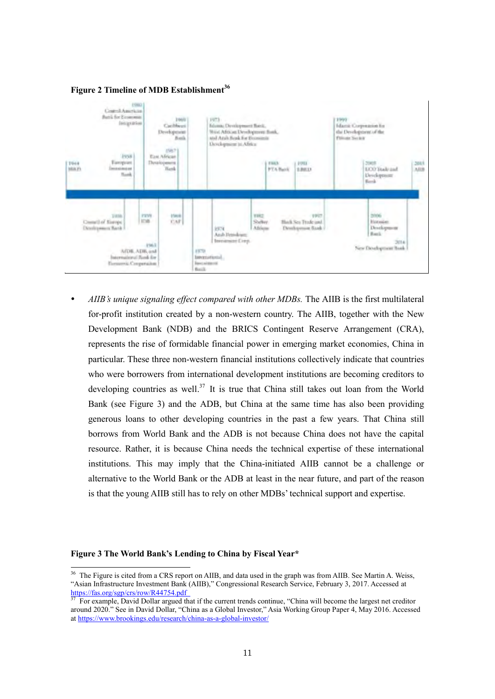



 *AIIB's unique signaling effect compared with other MDBs.* The AIIB is the first multilateral for-profit institution created by a non-western country. The AIIB, together with the New Development Bank (NDB) and the BRICS Contingent Reserve Arrangement (CRA), represents the rise of formidable financial power in emerging market economies, China in particular. These three non-western financial institutions collectively indicate that countries who were borrowers from international development institutions are becoming creditors to developing countries as well.<sup>37</sup> It is true that China still takes out loan from the World Bank (see Figure 3) and the ADB, but China at the same time has also been providing generous loans to other developing countries in the past a few years. That China still borrows from World Bank and the ADB is not because China does not have the capital resource. Rather, it is because China needs the technical expertise of these international institutions. This may imply that the China-initiated AIIB cannot be a challenge or alternative to the World Bank or the ADB at least in the near future, and part of the reason is that the young AIIB still has to rely on other MDBs' technical support and expertise.

#### **Figure 3 The World Bank's Lending to China by Fiscal Year\***

 $36$  The Figure is cited from a CRS report on AIIB, and data used in the graph was from AIIB. See Martin A. Weiss, "Asian Infrastructure Investment Bank (AIIB)," Congressional Research Service, February 3, 2017. Accessed at https://fas.org/sgp/crs/row/R44754.pdf<br>
<sup>37</sup> For answer in C

<sup>37</sup> For example, David Dollar argued that if the current trends continue, "China will become the largest net creditor around 2020." See in David Dollar, "China as a Global Investor," Asia Working Group Paper 4, May 2016. Accessed at<https://www.brookings.edu/research/china-as-a-global-investor/>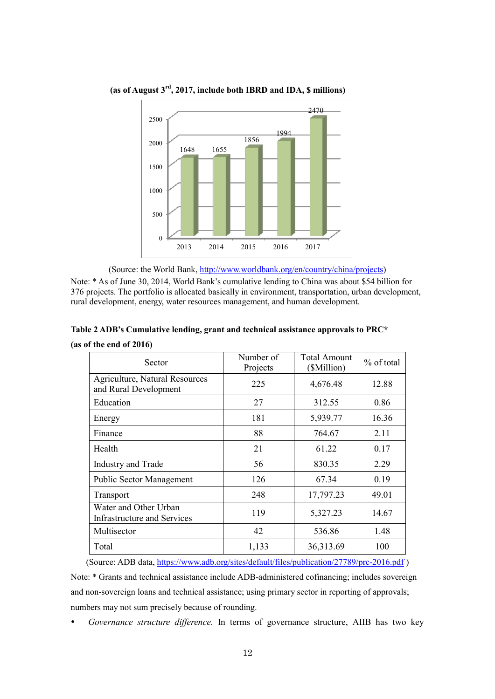

**(as of August 3rd, 2017, include both IBRD and IDA, \$ millions)** 

(Source: the World Bank, [http://www.worldbank.org/en/country/china/projects\)](http://www.worldbank.org/en/country/china/projects)

Note: \* As of June 30, 2014, World Bank's cumulative lending to China was about \$54 billion for 376 projects. The portfolio is allocated basically in environment, transportation, urban development, rural development, energy, water resources management, and human development.

|  | Table 2 ADB's Cumulative lending, grant and technical assistance approvals to PRC* |  |  |
|--|------------------------------------------------------------------------------------|--|--|
|--|------------------------------------------------------------------------------------|--|--|

|  |  | (as of the end of 2016) |  |
|--|--|-------------------------|--|
|  |  |                         |  |

| Sector                                                         | Number of<br>Projects | <b>Total Amount</b><br>(\$Million) | % of total |
|----------------------------------------------------------------|-----------------------|------------------------------------|------------|
| <b>Agriculture, Natural Resources</b><br>and Rural Development | 225                   | 4,676.48                           | 12.88      |
| Education                                                      | 27                    | 312.55                             | 0.86       |
| Energy                                                         | 181                   | 5,939.77                           | 16.36      |
| Finance                                                        | 88                    | 764.67                             | 2.11       |
| Health                                                         | 21                    | 61.22                              | 0.17       |
| Industry and Trade                                             | 56                    | 830.35                             | 2.29       |
| <b>Public Sector Management</b>                                | 126                   | 67.34                              | 0.19       |
| Transport                                                      | 248                   | 17,797.23                          | 49.01      |
| Water and Other Urban<br>Infrastructure and Services           | 119                   | 5,327.23                           | 14.67      |
| Multisector                                                    | 42                    | 536.86                             | 1.48       |
| Total                                                          | 1,133                 | 36,313.69                          | 100        |

(Source: ADB data[, https://www.adb.org/sites/default/files/publication/27789/prc-2016.pdf](https://www.adb.org/sites/default/files/publication/27789/prc-2016.pdf) ) Note: \* Grants and technical assistance include ADB-administered cofinancing; includes sovereign and non-sovereign loans and technical assistance; using primary sector in reporting of approvals; numbers may not sum precisely because of rounding.

*Governance structure difference.* In terms of governance structure, AIIB has two key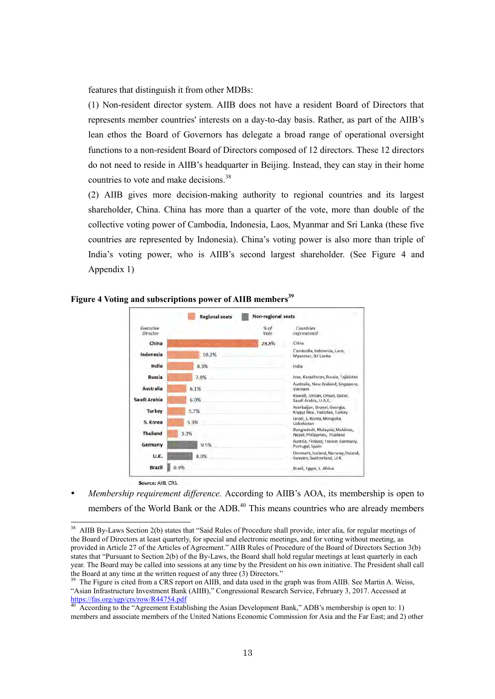features that distinguish it from other MDBs:

(1) Non-resident director system. AIIB does not have a resident Board of Directors that represents member countries' interests on a day-to-day basis. Rather, as part of the AIIB's lean ethos the Board of Governors has delegate a broad range of operational oversight functions to a non-resident Board of Directors composed of 12 directors. These 12 directors do not need to reside in AIIB's headquarter in Beijing. Instead, they can stay in their home countries to vote and make decisions.<sup>38</sup>

(2) AIIB gives more decision-making authority to regional countries and its largest shareholder, China. China has more than a quarter of the vote, more than double of the collective voting power of Cambodia, Indonesia, Laos, Myanmar and Sri Lanka (these five countries are represented by Indonesia). China's voting power is also more than triple of India's voting power, who is AIIB's second largest shareholder. (See Figure 4 and Appendix 1)



**Figure 4 Voting and subscriptions power of AIIB members<sup>39</sup>**

-

 *Membership requirement difference.* According to AIIB's AOA, its membership is open to members of the World Bank or the ADB.<sup>40</sup> This means countries who are already members

 $38$  AIIB By-Laws Section 2(b) states that "Said Rules of Procedure shall provide, inter alia, for regular meetings of the Board of Directors at least quarterly, for special and electronic meetings, and for voting without meeting, as provided in Article 27 of the Articles of Agreement." AIIB Rules of Procedure of the Board of Directors Section 3(b) states that "Pursuant to Section 2(b) of the By-Laws, the Board shall hold regular meetings at least quarterly in each year. The Board may be called into sessions at any time by the President on his own initiative. The President shall call the Board at any time at the written request of any three (3) Directors."

<sup>&</sup>lt;sup>39</sup> The Figure is cited from a CRS report on AIIB, and data used in the graph was from AIIB. See Martin A. Weiss, "Asian Infrastructure Investment Bank (AIIB)," Congressional Research Service, February 3, 2017. Accessed at <https://fas.org/sgp/crs/row/R44754.pdf>

<sup>40</sup> According to the "Agreement Establishing the Asian Development Bank," ADB's membership is open to: 1) members and associate members of the United Nations Economic Commission for Asia and the Far East; and 2) other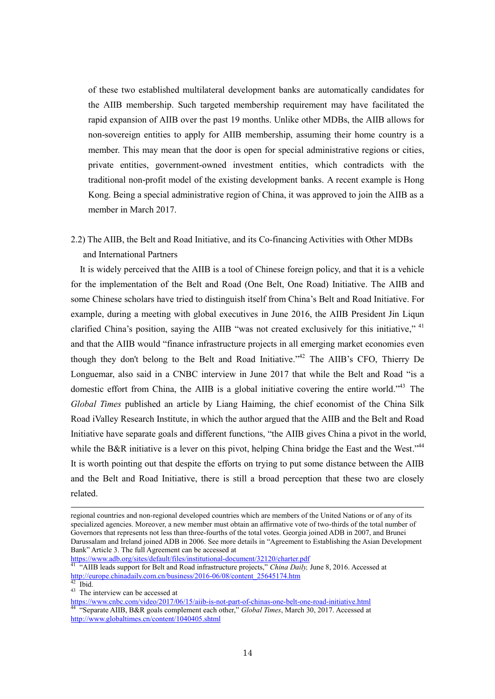of these two established multilateral development banks are automatically candidates for the AIIB membership. Such targeted membership requirement may have facilitated the rapid expansion of AIIB over the past 19 months. Unlike other MDBs, the AIIB allows for non-sovereign entities to apply for AIIB membership, assuming their home country is a member. This may mean that the door is open for special administrative regions or cities, private entities, government-owned investment entities, which contradicts with the traditional non-profit model of the existing development banks. A recent example is Hong Kong. Being a special administrative region of China, it was approved to join the AIIB as a member in March 2017.

2.2) The AIIB, the Belt and Road Initiative, and its Co-financing Activities with Other MDBs and International Partners

It is widely perceived that the AIIB is a tool of Chinese foreign policy, and that it is a vehicle for the implementation of the Belt and Road (One Belt, One Road) Initiative. The AIIB and some Chinese scholars have tried to distinguish itself from China's Belt and Road Initiative. For example, during a meeting with global executives in June 2016, the AIIB President Jin Liqun clarified China's position, saying the AIIB "was not created exclusively for this initiative," <sup>41</sup> and that the AIIB would "finance infrastructure projects in all emerging market economies even though they don't belong to the Belt and Road Initiative."<sup>42</sup> The AIIB's CFO, Thierry De Longuemar, also said in a CNBC interview in June 2017 that while the Belt and Road "is a domestic effort from China, the AIIB is a global initiative covering the entire world.<sup> $34$ </sup> The *Global Times* published an article by Liang Haiming, the chief economist of the China Silk Road iValley Research Institute, in which the author argued that the AIIB and the Belt and Road Initiative have separate goals and different functions, "the AIIB gives China a pivot in the world, while the B&R initiative is a lever on this pivot, helping China bridge the East and the West.<sup> $344$ </sup> It is worth pointing out that despite the efforts on trying to put some distance between the AIIB and the Belt and Road Initiative, there is still a broad perception that these two are closely related.

<https://www.adb.org/sites/default/files/institutional-document/32120/charter.pdf>

regional countries and non-regional developed countries which are members of the United Nations or of any of its specialized agencies. Moreover, a new member must obtain an affirmative vote of two-thirds of the total number of Governors that represents not less than three-fourths of the total votes. Georgia joined ADB in 2007, and Brunei Darussalam and Ireland joined ADB in 2006. See more details in "Agreement to Establishing the Asian Development Bank" Article 3. The full Agreement can be accessed at

<sup>&</sup>lt;sup>41</sup> "AIIB leads support for Belt and Road infrastructure projects," *China Daily*, June 8, 2016. Accessed at [http://europe.chinadaily.com.cn/business/2016-06/08/content\\_25645174.htm](http://europe.chinadaily.com.cn/business/2016-06/08/content_25645174.htm)

 $42$  Ibid.

<sup>&</sup>lt;sup>43</sup> The interview can be accessed at

<https://www.cnbc.com/video/2017/06/15/aiib-is-not-part-of-chinas-one-belt-one-road-initiative.html> <sup>44</sup> "Separate AIIB, B&R goals complement each other," *Global Times*, March 30, 2017. Accessed at <http://www.globaltimes.cn/content/1040405.shtml>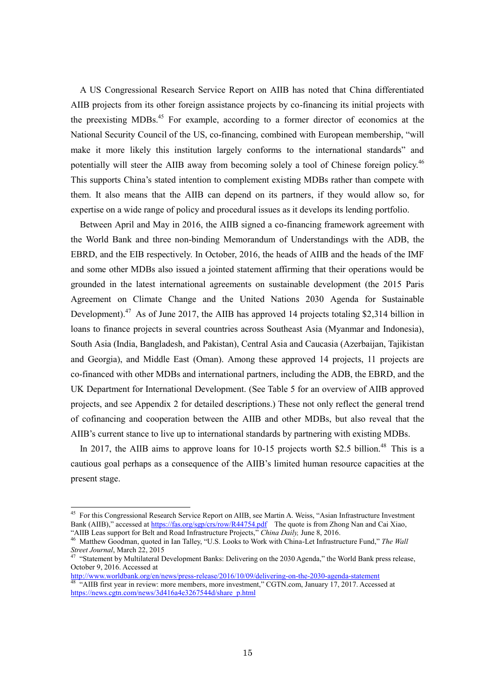A US Congressional Research Service Report on AIIB has noted that China differentiated AIIB projects from its other foreign assistance projects by co-financing its initial projects with the preexisting MDBs.<sup>45</sup> For example, according to a former director of economics at the National Security Council of the US, co-financing, combined with European membership, "will make it more likely this institution largely conforms to the international standards" and potentially will steer the AIIB away from becoming solely a tool of Chinese foreign policy.<sup>46</sup> This supports China's stated intention to complement existing MDBs rather than compete with them. It also means that the AIIB can depend on its partners, if they would allow so, for expertise on a wide range of policy and procedural issues as it develops its lending portfolio.

Between April and May in 2016, the AIIB signed a co-financing framework agreement with the World Bank and three non-binding Memorandum of Understandings with the ADB, the EBRD, and the EIB respectively. In October, 2016, the heads of AIIB and the heads of the IMF and some other MDBs also issued a jointed statement affirming that their operations would be grounded in the latest international agreements on sustainable development (the 2015 Paris Agreement on Climate Change and the United Nations 2030 Agenda for Sustainable Development).<sup>47</sup> As of June 2017, the AIIB has approved 14 projects totaling \$2,314 billion in loans to finance projects in several countries across Southeast Asia (Myanmar and Indonesia), South Asia (India, Bangladesh, and Pakistan), Central Asia and Caucasia (Azerbaijan, Tajikistan and Georgia), and Middle East (Oman). Among these approved 14 projects, 11 projects are co-financed with other MDBs and international partners, including the ADB, the EBRD, and the UK Department for International Development. (See Table 5 for an overview of AIIB approved projects, and see Appendix 2 for detailed descriptions.) These not only reflect the general trend of cofinancing and cooperation between the AIIB and other MDBs, but also reveal that the AIIB's current stance to live up to international standards by partnering with existing MDBs.

In 2017, the AIIB aims to approve loans for 10-15 projects worth \$2.5 billion.<sup>48</sup> This is a cautious goal perhaps as a consequence of the AIIB's limited human resource capacities at the present stage.

<sup>&</sup>lt;sup>45</sup> For this Congressional Research Service Report on AIIB, see Martin A. Weiss, "Asian Infrastructure Investment Bank (AIIB)," accessed at<https://fas.org/sgp/crs/row/R44754.pdf>The quote is from Zhong Nan and Cai Xiao, "AIIB Leas support for Belt and Road Infrastructure Projects," *China Daily,* June 8, 2016.

<sup>46</sup> Matthew Goodman, quoted in Ian Talley, "U.S. Looks to Work with China-Let Infrastructure Fund," *The Wall Street Journal*, March 22, 2015

<sup>&</sup>lt;sup>47</sup> "Statement by Multilateral Development Banks: Delivering on the 2030 Agenda," the World Bank press release, October 9, 2016. Accessed at

<http://www.worldbank.org/en/news/press-release/2016/10/09/delivering-on-the-2030-agenda-statement> <sup>48</sup> "AIIB first year in review: more members, more investment," CGTN.com, January 17, 2017. Accessed at [https://news.cgtn.com/news/3d416a4e3267544d/share\\_p.html](https://news.cgtn.com/news/3d416a4e3267544d/share_p.html)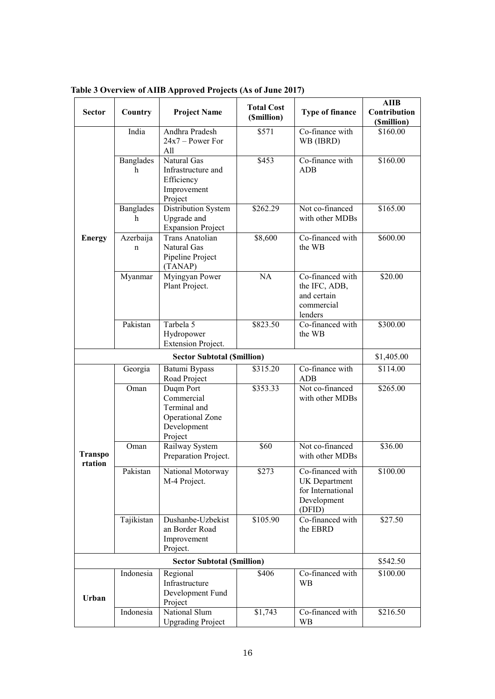| <b>Sector</b>             | Country<br><b>Project Name</b> |                                                                                       | <b>Total Cost</b><br>(\$million) | <b>Type of finance</b>                                                                 | AIIB<br>Contribution<br>(\$million) |
|---------------------------|--------------------------------|---------------------------------------------------------------------------------------|----------------------------------|----------------------------------------------------------------------------------------|-------------------------------------|
|                           | India                          | Andhra Pradesh<br>$24x7 - Power For$<br>All                                           | \$571                            | Co-finance with<br>WB (IBRD)                                                           | \$160.00                            |
|                           | <b>Banglades</b><br>h          | Natural Gas<br>Infrastructure and<br>Efficiency<br>Improvement<br>Project             | \$453                            | Co-finance with<br>ADB                                                                 | \$160.00                            |
|                           | <b>Banglades</b><br>h          | Distribution System<br>Upgrade and<br><b>Expansion Project</b>                        | \$262.29                         | Not co-financed<br>with other MDBs                                                     | \$165.00                            |
| <b>Energy</b>             | Azerbaija<br>n                 | Trans Anatolian<br>Natural Gas<br>Pipeline Project<br>(TANAP)                         | \$8,600                          | Co-financed with<br>the WB                                                             | \$600.00                            |
|                           | Myanmar                        | Myingyan Power<br>Plant Project.                                                      | NA                               | Co-financed with<br>the IFC, ADB,<br>and certain<br>commercial<br>lenders              | \$20.00                             |
|                           | Pakistan                       | Tarbela 5<br>Hydropower<br><b>Extension Project.</b>                                  | \$823.50                         | Co-financed with<br>the WB                                                             | \$300.00                            |
|                           |                                | <b>Sector Subtotal (\$million)</b>                                                    |                                  |                                                                                        | \$1,405.00                          |
|                           | Georgia                        | Batumi Bypass<br>Road Project                                                         | \$315.20                         | Co-finance with<br>ADB                                                                 | \$114.00                            |
|                           | Oman                           | Duqm Port<br>Commercial<br>Terminal and<br>Operational Zone<br>Development<br>Project | \$353.33                         | Not co-financed<br>with other MDBs                                                     | \$265.00                            |
| <b>Transpo</b><br>rtation | Oman                           | Railway System<br>Preparation Project.                                                | \$60                             | Not co-financed<br>with other MDBs                                                     | \$36.00                             |
|                           | Pakistan                       | National Motorway<br>M-4 Project.                                                     | \$273                            | Co-financed with<br><b>UK</b> Department<br>for International<br>Development<br>(DFID) | \$100.00                            |
|                           | Tajikistan                     | Dushanbe-Uzbekist<br>an Border Road<br>Improvement<br>Project.                        | \$105.90                         | Co-financed with<br>the EBRD                                                           | \$27.50                             |
|                           | \$542.50                       |                                                                                       |                                  |                                                                                        |                                     |
| Urban                     | Indonesia                      | Regional<br>Infrastructure<br>Development Fund<br>Project                             | \$406                            | Co-financed with<br><b>WB</b>                                                          | \$100.00                            |
|                           | Indonesia                      | National Slum<br><b>Upgrading Project</b>                                             | \$1,743                          | Co-financed with<br>WB                                                                 | \$216.50                            |

**Table 3 Overview of AIIB Approved Projects (As of June 2017)**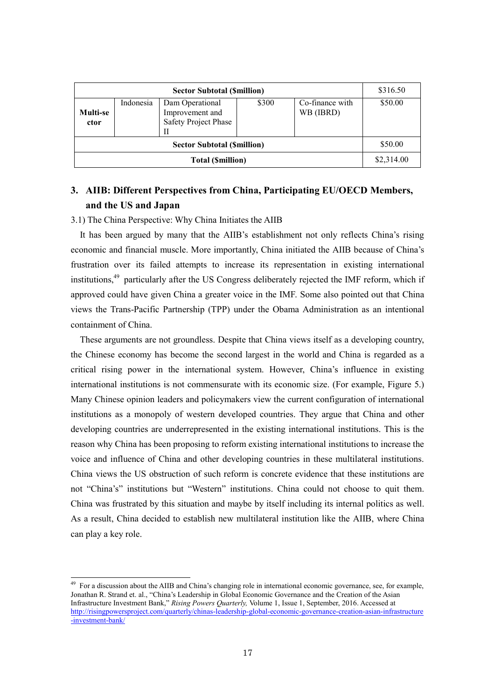| <b>Sector Subtotal (Smillion)</b> |           |                                                            |       | \$316.50                     |         |
|-----------------------------------|-----------|------------------------------------------------------------|-------|------------------------------|---------|
| Multi-se<br>ctor                  | Indonesia | Dam Operational<br>Improvement and<br>Safety Project Phase | \$300 | Co-finance with<br>WB (IBRD) | \$50.00 |
| <b>Sector Subtotal (Smillion)</b> |           |                                                            |       |                              | \$50.00 |
| <b>Total (Smillion)</b>           |           |                                                            |       | \$2,314.00                   |         |

# **3. AIIB: Different Perspectives from China, Participating EU/OECD Members, and the US and Japan**

#### 3.1) The China Perspective: Why China Initiates the AIIB

 $\overline{a}$ 

It has been argued by many that the AIIB's establishment not only reflects China's rising economic and financial muscle. More importantly, China initiated the AIIB because of China's frustration over its failed attempts to increase its representation in existing international institutions.<sup>49</sup> particularly after the US Congress deliberately rejected the IMF reform, which if approved could have given China a greater voice in the IMF. Some also pointed out that China views the Trans-Pacific Partnership (TPP) under the Obama Administration as an intentional containment of China.

These arguments are not groundless. Despite that China views itself as a developing country, the Chinese economy has become the second largest in the world and China is regarded as a critical rising power in the international system. However, China's influence in existing international institutions is not commensurate with its economic size. (For example, Figure 5.) Many Chinese opinion leaders and policymakers view the current configuration of international institutions as a monopoly of western developed countries. They argue that China and other developing countries are underrepresented in the existing international institutions. This is the reason why China has been proposing to reform existing international institutions to increase the voice and influence of China and other developing countries in these multilateral institutions. China views the US obstruction of such reform is concrete evidence that these institutions are not "China's" institutions but "Western" institutions. China could not choose to quit them. China was frustrated by this situation and maybe by itself including its internal politics as well. As a result, China decided to establish new multilateral institution like the AIIB, where China can play a key role.

 $49$  For a discussion about the AIIB and China's changing role in international economic governance, see, for example, Jonathan R. Strand et. al., "China's Leadership in Global Economic Governance and the Creation of the Asian Infrastructure Investment Bank," *Rising Powers Quarterly,* Volume 1, Issue 1, September, 2016. Accessed at [http://risingpowersproject.com/quarterly/chinas-leadership-global-economic-governance-creation-asian-infrastructure](http://risingpowersproject.com/quarterly/chinas-leadership-global-economic-governance-creation-asian-infrastructure-investment-bank/) [-investment-bank/](http://risingpowersproject.com/quarterly/chinas-leadership-global-economic-governance-creation-asian-infrastructure-investment-bank/)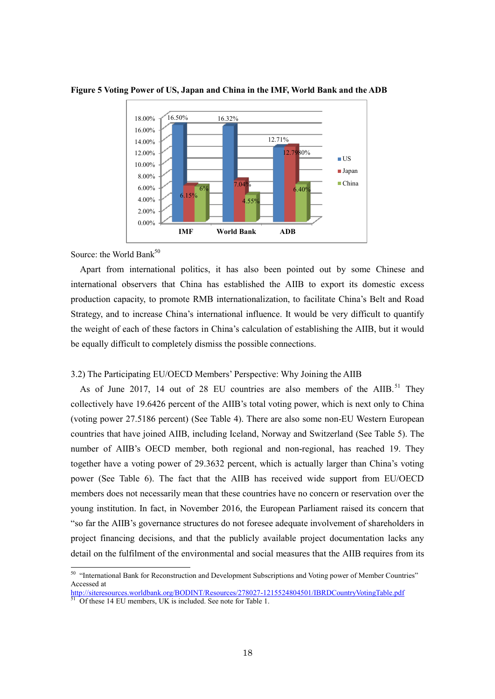



Source: the World Bank<sup>50</sup>

Apart from international politics, it has also been pointed out by some Chinese and international observers that China has established the AIIB to export its domestic excess production capacity, to promote RMB internationalization, to facilitate China's Belt and Road Strategy, and to increase China's international influence. It would be very difficult to quantify the weight of each of these factors in China's calculation of establishing the AIIB, but it would be equally difficult to completely dismiss the possible connections.

3.2) The Participating EU/OECD Members' Perspective: Why Joining the AIIB

As of June 2017, 14 out of 28 EU countries are also members of the AIIB.<sup>51</sup> They collectively have 19.6426 percent of the AIIB's total voting power, which is next only to China (voting power 27.5186 percent) (See Table 4). There are also some non-EU Western European countries that have joined AIIB, including Iceland, Norway and Switzerland (See Table 5). The number of AIIB's OECD member, both regional and non-regional, has reached 19. They together have a voting power of 29.3632 percent, which is actually larger than China's voting power (See Table 6). The fact that the AIIB has received wide support from EU/OECD members does not necessarily mean that these countries have no concern or reservation over the young institution. In fact, in November 2016, the European Parliament raised its concern that "so far the AIIB's governance structures do not foresee adequate involvement of shareholders in project financing decisions, and that the publicly available project documentation lacks any detail on the fulfilment of the environmental and social measures that the AIIB requires from its

<sup>&</sup>lt;sup>50</sup> "International Bank for Reconstruction and Development Subscriptions and Voting power of Member Countries" Accessed at

<http://siteresources.worldbank.org/BODINT/Resources/278027-1215524804501/IBRDCountryVotingTable.pdf>

<sup>&</sup>lt;sup>51</sup> Of these 14 EU members, UK is included. See note for Table 1.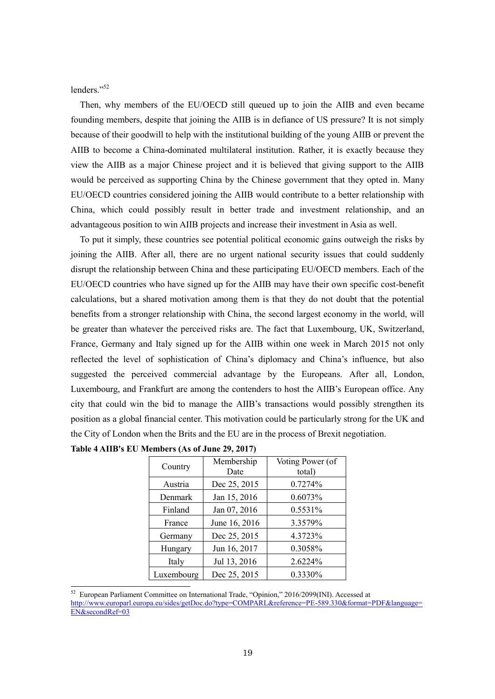lenders."<sup>52</sup>

-

Then, why members of the EU/OECD still queued up to join the AIIB and even became founding members, despite that joining the AIIB is in defiance of US pressure? It is not simply because of their goodwill to help with the institutional building of the young AIIB or prevent the AIIB to become a China-dominated multilateral institution. Rather, it is exactly because they view the AIIB as a major Chinese project and it is believed that giving support to the AIIB would be perceived as supporting China by the Chinese government that they opted in. Many EU/OECD countries considered joining the AIIB would contribute to a better relationship with China, which could possibly result in better trade and investment relationship, and an advantageous position to win AIIB projects and increase their investment in Asia as well.

To put it simply, these countries see potential political economic gains outweigh the risks by joining the AIIB. After all, there are no urgent national security issues that could suddenly disrupt the relationship between China and these participating EU/OECD members. Each of the EU/OECD countries who have signed up for the AIIB may have their own specific cost-benefit calculations, but a shared motivation among them is that they do not doubt that the potential benefits from a stronger relationship with China, the second largest economy in the world, will be greater than whatever the perceived risks are. The fact that Luxembourg, UK, Switzerland, France, Germany and Italy signed up for the AIIB within one week in March 2015 not only reflected the level of sophistication of China's diplomacy and China's influence, but also suggested the perceived commercial advantage by the Europeans. After all, London, Luxembourg, and Frankfurt are among the contenders to host the AIIB's European office. Any city that could win the bid to manage the AIIB's transactions would possibly strengthen its position as a global financial center. This motivation could be particularly strong for the UK and the City of London when the Brits and the EU are in the process of Brexit negotiation.

| Country    | Membership<br>Date | Voting Power (of<br>total) |
|------------|--------------------|----------------------------|
| Austria    | Dec 25, 2015       | 0.7274%                    |
| Denmark    | Jan 15, 2016       | 0.6073%                    |
| Finland    | Jan 07, 2016       | 0.5531%                    |
| France     | June 16, 2016      | 3.3579%                    |
| Germany    | Dec 25, 2015       | 4.3723%                    |
| Hungary    | Jun 16, 2017       | 0.3058%                    |
| Italy      | Jul 13, 2016       | 2.6224%                    |
| Luxembourg | Dec 25, 2015       | 0.3330%                    |

 $52$  European Parliament Committee on International Trade, "Opinion," 2016/2099(INI). Accessed at [http://www.europarl.europa.eu/sides/getDoc.do?type=COMPARL&reference=PE-589.330&format=PDF&language=](http://www.europarl.europa.eu/sides/getDoc.do?type=COMPARL&reference=PE-589.330&format=PDF&language=EN&secondRef=03) [EN&secondRef=03](http://www.europarl.europa.eu/sides/getDoc.do?type=COMPARL&reference=PE-589.330&format=PDF&language=EN&secondRef=03)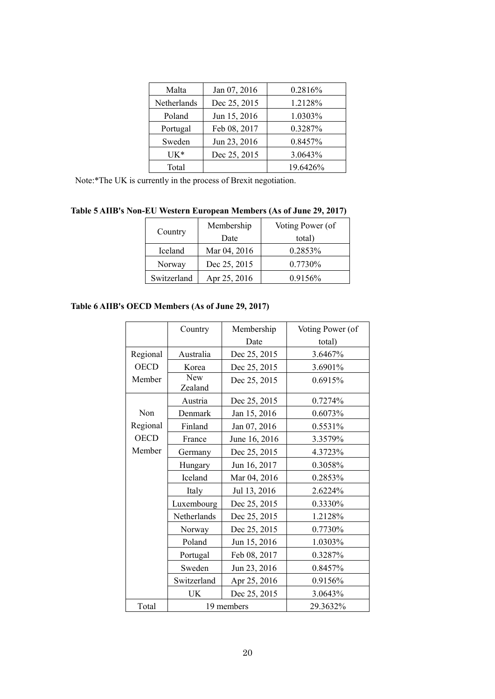| Malta       | Jan 07, 2016 | 0.2816%  |
|-------------|--------------|----------|
| Netherlands | Dec 25, 2015 | 1.2128%  |
| Poland      | Jun 15, 2016 | 1.0303%  |
| Portugal    | Feb 08, 2017 | 0.3287%  |
| Sweden      | Jun 23, 2016 | 0.8457%  |
| $UK*$       | Dec 25, 2015 | 3.0643%  |
| Total       |              | 19.6426% |

Note:\*The UK is currently in the process of Brexit negotiation.

| Table 5 AIIB's Non-EU Western European Members (As of June 29, 2017) |  |  |  |  |
|----------------------------------------------------------------------|--|--|--|--|
|----------------------------------------------------------------------|--|--|--|--|

|             | Membership   | Voting Power (of |
|-------------|--------------|------------------|
| Country     | Date         | total)           |
| Iceland     | Mar 04, 2016 | 0.2853%          |
| Norway      | Dec 25, 2015 | 0.7730%          |
| Switzerland | Apr 25, 2016 | 0.9156%          |

# **Table 6 AIIB's OECD Members (As of June 29, 2017)**

|             | Country               | Membership    | Voting Power (of |
|-------------|-----------------------|---------------|------------------|
|             |                       | Date          | total)           |
| Regional    | Australia             | Dec 25, 2015  | 3.6467%          |
| <b>OECD</b> | Korea                 | Dec 25, 2015  | 3.6901%          |
| Member      | <b>New</b><br>Zealand | Dec 25, 2015  | 0.6915%          |
|             | Austria               | Dec 25, 2015  | 0.7274%          |
| Non         | Denmark               | Jan 15, 2016  | 0.6073%          |
| Regional    | Finland               | Jan 07, 2016  | 0.5531%          |
| <b>OECD</b> | France                | June 16, 2016 | 3.3579%          |
| Member      | Germany               | Dec 25, 2015  | 4.3723%          |
|             | Hungary               | Jun 16, 2017  | 0.3058%          |
|             | Iceland               | Mar 04, 2016  | 0.2853%          |
|             | Italy                 | Jul 13, 2016  | 2.6224%          |
|             | Luxembourg            | Dec 25, 2015  | 0.3330%          |
|             | Netherlands           | Dec 25, 2015  | 1.2128%          |
|             | Norway                | Dec 25, 2015  | 0.7730%          |
|             | Poland                | Jun 15, 2016  | 1.0303%          |
|             | Portugal              | Feb 08, 2017  | 0.3287%          |
|             | Sweden                | Jun 23, 2016  | 0.8457%          |
|             | Switzerland           | Apr 25, 2016  | 0.9156%          |
|             | UK                    | Dec 25, 2015  | 3.0643%          |
| Total       |                       | 19 members    | 29.3632%         |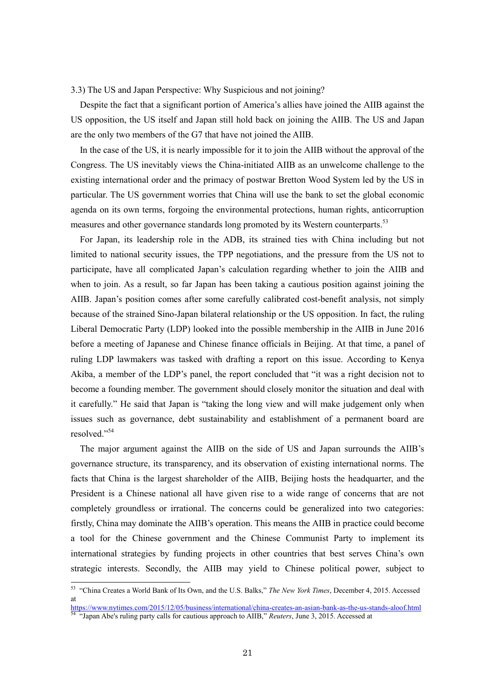#### 3.3) The US and Japan Perspective: Why Suspicious and not joining?

Despite the fact that a significant portion of America's allies have joined the AIIB against the US opposition, the US itself and Japan still hold back on joining the AIIB. The US and Japan are the only two members of the G7 that have not joined the AIIB.

In the case of the US, it is nearly impossible for it to join the AIIB without the approval of the Congress. The US inevitably views the China-initiated AIIB as an unwelcome challenge to the existing international order and the primacy of postwar Bretton Wood System led by the US in particular. The US government worries that China will use the bank to set the global economic agenda on its own terms, forgoing the environmental protections, human rights, anticorruption measures and other governance standards long promoted by its Western counterparts.<sup>53</sup>

For Japan, its leadership role in the ADB, its strained ties with China including but not limited to national security issues, the TPP negotiations, and the pressure from the US not to participate, have all complicated Japan's calculation regarding whether to join the AIIB and when to join. As a result, so far Japan has been taking a cautious position against joining the AIIB. Japan's position comes after some carefully calibrated cost-benefit analysis, not simply because of the strained Sino-Japan bilateral relationship or the US opposition. In fact, the ruling Liberal Democratic Party (LDP) looked into the possible membership in the AIIB in June 2016 before a meeting of Japanese and Chinese finance officials in Beijing. At that time, a panel of ruling LDP lawmakers was tasked with drafting a report on this issue. According to Kenya Akiba, a member of the LDP's panel, the report concluded that "it was a right decision not to become a founding member. The government should closely monitor the situation and deal with it carefully." He said that Japan is "taking the long view and will make judgement only when issues such as governance, debt sustainability and establishment of a permanent board are resolved<sup>"54</sup>

The major argument against the AIIB on the side of US and Japan surrounds the AIIB's governance structure, its transparency, and its observation of existing international norms. The facts that China is the largest shareholder of the AIIB, Beijing hosts the headquarter, and the President is a Chinese national all have given rise to a wide range of concerns that are not completely groundless or irrational. The concerns could be generalized into two categories: firstly, China may dominate the AIIB's operation. This means the AIIB in practice could become a tool for the Chinese government and the Chinese Communist Party to implement its international strategies by funding projects in other countries that best serves China's own strategic interests. Secondly, the AIIB may yield to Chinese political power, subject to

<sup>53</sup> "China Creates a World Bank of Its Own, and the U.S. Balks," *The New York Times*, December 4, 2015. Accessed at

<https://www.nytimes.com/2015/12/05/business/international/china-creates-an-asian-bank-as-the-us-stands-aloof.html> <sup>54</sup> "Japan Abe's ruling party calls for cautious approach to AIIB," *Reuters*, June 3, 2015. Accessed at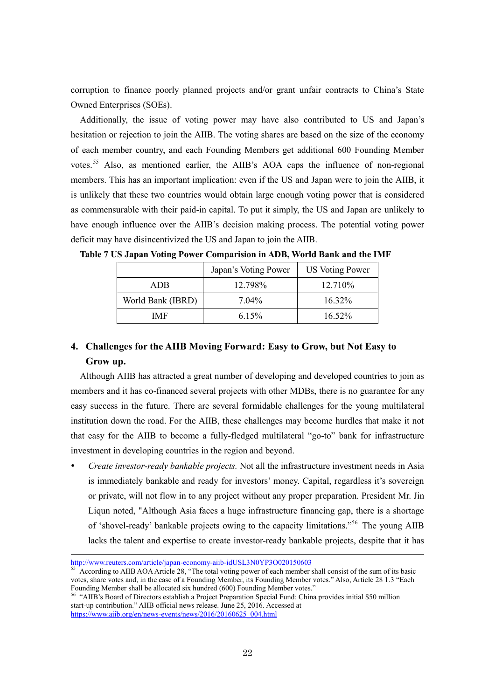corruption to finance poorly planned projects and/or grant unfair contracts to China's State Owned Enterprises (SOEs).

Additionally, the issue of voting power may have also contributed to US and Japan's hesitation or rejection to join the AIIB. The voting shares are based on the size of the economy of each member country, and each Founding Members get additional 600 Founding Member votes.<sup>55</sup> Also, as mentioned earlier, the AIIB's AOA caps the influence of non-regional members. This has an important implication: even if the US and Japan were to join the AIIB, it is unlikely that these two countries would obtain large enough voting power that is considered as commensurable with their paid-in capital. To put it simply, the US and Japan are unlikely to have enough influence over the AIIB's decision making process. The potential voting power deficit may have disincentivized the US and Japan to join the AIIB.

|                   | Japan's Voting Power | <b>US Voting Power</b> |
|-------------------|----------------------|------------------------|
| ADB.              | 12.798%              | 12.710\%               |
| World Bank (IBRD) | $7.04\%$             | $16.32\%$              |
| IMF               | 6.15%                | $16.52\%$              |

**Table 7 US Japan Voting Power Comparision in ADB, World Bank and the IMF** 

## **4. Challenges for the AIIB Moving Forward: Easy to Grow, but Not Easy to Grow up.**

Although AIIB has attracted a great number of developing and developed countries to join as members and it has co-financed several projects with other MDBs, there is no guarantee for any easy success in the future. There are several formidable challenges for the young multilateral institution down the road. For the AIIB, these challenges may become hurdles that make it not that easy for the AIIB to become a fully-fledged multilateral "go-to" bank for infrastructure investment in developing countries in the region and beyond.

 *Create investor-ready bankable projects.* Not all the infrastructure investment needs in Asia is immediately bankable and ready for investors' money. Capital, regardless it's sovereign or private, will not flow in to any project without any proper preparation. President Mr. Jin Liqun noted, "Although Asia faces a huge infrastructure financing gap, there is a shortage of 'shovel-ready' bankable projects owing to the capacity limitations."<sup>56</sup> The young AIIB lacks the talent and expertise to create investor-ready bankable projects, despite that it has

<http://www.reuters.com/article/japan-economy-aiib-idUSL3N0YP3O020150603>

<sup>55</sup> According to AIIB AOA Article 28, "The total voting power of each member shall consist of the sum of its basic votes, share votes and, in the case of a Founding Member, its Founding Member votes." Also, Article 28 1.3 "Each Founding Member shall be allocated six hundred (600) Founding Member votes."

<sup>56</sup> "AIIB's Board of Directors establish a Project Preparation Special Fund: China provides initial \$50 million start-up contribution." AIIB official news release. June 25, 2016. Accessed at [https://www.aiib.org/en/news-events/news/2016/20160625\\_004.html](https://www.aiib.org/en/news-events/news/2016/20160625_004.html)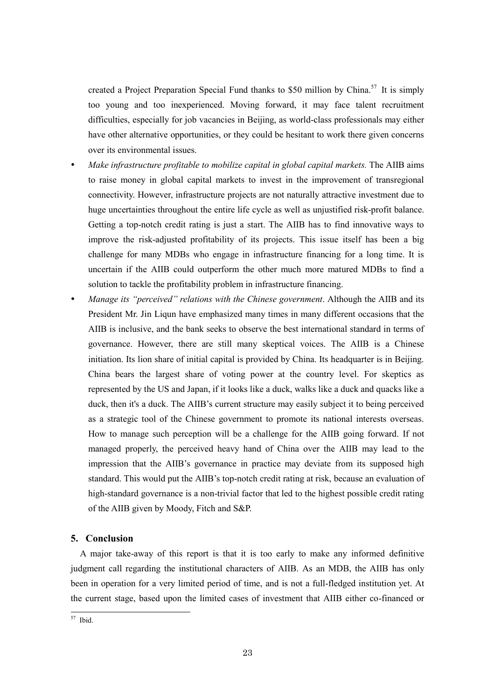created a Project Preparation Special Fund thanks to \$50 million by China.<sup>57</sup> It is simply too young and too inexperienced. Moving forward, it may face talent recruitment difficulties, especially for job vacancies in Beijing, as world-class professionals may either have other alternative opportunities, or they could be hesitant to work there given concerns over its environmental issues.

- *Make infrastructure profitable to mobilize capital in global capital markets.* The AIIB aims to raise money in global capital markets to invest in the improvement of transregional connectivity. However, infrastructure projects are not naturally attractive investment due to huge uncertainties throughout the entire life cycle as well as unjustified risk-profit balance. Getting a top-notch credit rating is just a start. The AIIB has to find innovative ways to improve the risk-adjusted profitability of its projects. This issue itself has been a big challenge for many MDBs who engage in infrastructure financing for a long time. It is uncertain if the AIIB could outperform the other much more matured MDBs to find a solution to tackle the profitability problem in infrastructure financing.
- *Manage its "perceived" relations with the Chinese government*. Although the AIIB and its President Mr. Jin Liqun have emphasized many times in many different occasions that the AIIB is inclusive, and the bank seeks to observe the best international standard in terms of governance. However, there are still many skeptical voices. The AIIB is a Chinese initiation. Its lion share of initial capital is provided by China. Its headquarter is in Beijing. China bears the largest share of voting power at the country level. For skeptics as represented by the US and Japan, if it looks like a duck, walks like a duck and quacks like a duck, then it's a duck. The AIIB's current structure may easily subject it to being perceived as a strategic tool of the Chinese government to promote its national interests overseas. How to manage such perception will be a challenge for the AIIB going forward. If not managed properly, the perceived heavy hand of China over the AIIB may lead to the impression that the AIIB's governance in practice may deviate from its supposed high standard. This would put the AIIB's top-notch credit rating at risk, because an evaluation of high-standard governance is a non-trivial factor that led to the highest possible credit rating of the AIIB given by Moody, Fitch and S&P.

### **5. Conclusion**

A major take-away of this report is that it is too early to make any informed definitive judgment call regarding the institutional characters of AIIB. As an MDB, the AIIB has only been in operation for a very limited period of time, and is not a full-fledged institution yet. At the current stage, based upon the limited cases of investment that AIIB either co-financed or

<sup>-</sup> $57$  Ibid.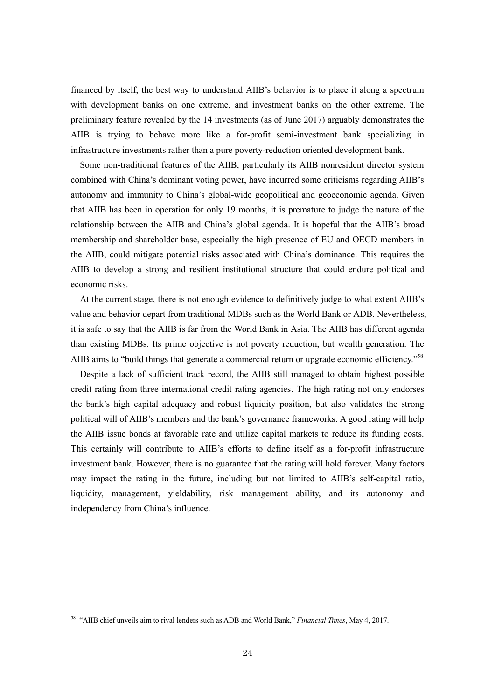financed by itself, the best way to understand AIIB's behavior is to place it along a spectrum with development banks on one extreme, and investment banks on the other extreme. The preliminary feature revealed by the 14 investments (as of June 2017) arguably demonstrates the AIIB is trying to behave more like a for-profit semi-investment bank specializing in infrastructure investments rather than a pure poverty-reduction oriented development bank.

Some non-traditional features of the AIIB, particularly its AIIB nonresident director system combined with China's dominant voting power, have incurred some criticisms regarding AIIB's autonomy and immunity to China's global-wide geopolitical and geoeconomic agenda. Given that AIIB has been in operation for only 19 months, it is premature to judge the nature of the relationship between the AIIB and China's global agenda. It is hopeful that the AIIB's broad membership and shareholder base, especially the high presence of EU and OECD members in the AIIB, could mitigate potential risks associated with China's dominance. This requires the AIIB to develop a strong and resilient institutional structure that could endure political and economic risks.

At the current stage, there is not enough evidence to definitively judge to what extent AIIB's value and behavior depart from traditional MDBs such as the World Bank or ADB. Nevertheless, it is safe to say that the AIIB is far from the World Bank in Asia. The AIIB has different agenda than existing MDBs. Its prime objective is not poverty reduction, but wealth generation. The AIIB aims to "build things that generate a commercial return or upgrade economic efficiency."<sup>58</sup>

Despite a lack of sufficient track record, the AIIB still managed to obtain highest possible credit rating from three international credit rating agencies. The high rating not only endorses the bank's high capital adequacy and robust liquidity position, but also validates the strong political will of AIIB's members and the bank's governance frameworks. A good rating will help the AIIB issue bonds at favorable rate and utilize capital markets to reduce its funding costs. This certainly will contribute to AIIB's efforts to define itself as a for-profit infrastructure investment bank. However, there is no guarantee that the rating will hold forever. Many factors may impact the rating in the future, including but not limited to AIIB's self-capital ratio, liquidity, management, yieldability, risk management ability, and its autonomy and independency from China's influence.

<sup>58</sup> "AIIB chief unveils aim to rival lenders such as ADB and World Bank," *Financial Times*, May 4, 2017.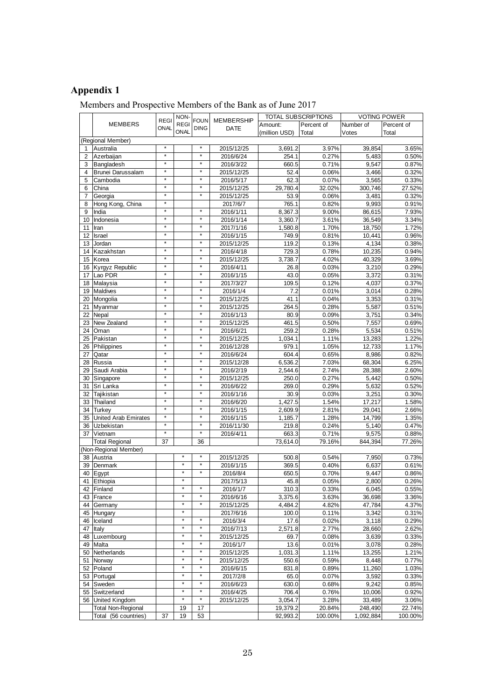# **Appendix 1**

## Members and Prospective Members of the Bank as of June 2017

| <b>REGI</b><br><b>REGI</b><br>Percent of<br>Percent of<br>Amount:<br>Number of<br>ONAL<br><b>DING</b><br>DATE<br>ONAL<br>(million USD)<br>Total<br>Votes<br>Total<br>(Regional Member)<br>$\star$<br>$\star$<br>2015/12/25<br>3.97%<br>Australia<br>3,691.2<br>39,854<br>1<br>$\star$<br>$\star$<br>254.1<br>0.27%<br>5,483<br>$\overline{2}$<br>Azerbaijan<br>2016/6/24<br>$\star$<br>$\star$<br>Bangladesh<br>3<br>2016/3/22<br>660.5<br>0.71%<br>9,547<br>$\star$<br>$\star$<br>2015/12/25<br>52.4<br>0.06%<br>3,466<br>4<br>Brunei Darussalam<br>$\star$<br>5<br>$\star$<br>2016/5/17<br>62.3<br>0.07%<br>3,565<br>0.33%<br>Cambodia<br>$\star$<br>$\star$<br>2015/12/25<br>32.02%<br>27.52%<br>6<br>China<br>29,780.4<br>300,746<br>$\star$<br>$\star$<br>2015/12/25<br>0.06%<br>3,481<br>0.32%<br>$\overline{7}$<br>Georgia<br>53.9<br>×<br>Hong Kong, China<br>0.91%<br>8<br>2017/6/7<br>765.1<br>0.82%<br>9,993<br>$^\star$<br>$\star$<br>9.00%<br>7.93%<br>9<br>India<br>2016/1/11<br>8,367.3<br>86,615<br>$\star$<br>*<br>2016/1/14<br>3.34%<br>10 Indonesia<br>3,360.7<br>3.61%<br>36,549<br>$\star$<br>$\star$<br>2017/1/16<br>1.70%<br>18,750<br>1,580.8<br>1.72%<br>11<br>Iran<br>$\star$<br>$\star$<br>12 <sup>°</sup><br>2016/1/15<br>749.9<br>0.81%<br>10,441<br>0.96%<br>Israel<br>$\star$<br>$\star$<br>4,134<br>0.38%<br>13 <sup>1</sup><br>Jordan<br>2015/12/25<br>119.2<br>0.13%<br>$\star$<br>$\star$<br>10,235<br>0.94%<br>14 Kazakhstan<br>2016/4/18<br>729.3<br>0.78%<br>$\star$<br>*<br>2015/12/25<br>3,738.7<br>4.02%<br>40,329<br>3.69%<br>15 Korea<br>$\star$<br>$^\star$<br>16 Kyrgyz Republic<br>2016/4/11<br>26.8<br>0.03%<br>3,210<br>0.29%<br>$\star$<br>$\star$<br>Lao PDR<br>43.0<br>0.05%<br>3.372<br>0.31%<br>17<br>2016/1/15<br>$\star$<br>$\star$<br>4,037<br>18 Malaysia<br>2017/3/27<br>109.5<br>0.12%<br>0.37%<br>$\star$<br>$\star$<br>19 Maldives<br>2016/1/4<br>0.01%<br>3,014<br>0.28%<br>7.2<br>$\star$<br>$\star$<br>0.31%<br>20 Mongolia<br>2015/12/25<br>41.1<br>0.04%<br>3,353<br>$\star$<br>$\star$<br>2015/12/25<br>0.28%<br>5,587<br>Myanmar<br>264.5<br>21<br>$\star$<br>$\star$<br>80.9<br>0.09%<br>3,751<br>22 Nepal<br>2016/1/13<br>$\star$<br>$\star$<br>2015/12/25<br>0.50%<br>23<br>New Zealand<br>461.5<br>7,557<br>$\star$<br>$\star$<br>259.2<br>0.28%<br>5,534<br>24 Oman<br>2016/6/21<br>$\star$<br>$\star$<br>25 Pakistan<br>2015/12/25<br>1,034.1<br>1.11%<br>13,283<br>$\star$<br>26 Philippines<br>$\star$<br>2016/12/28<br>979.1<br>1.05%<br>12,733<br>$\star$<br>0.82%<br>$\star$<br>604.4<br>0.65%<br>8,986<br>27<br>Qatar<br>2016/6/24<br>$\star$<br>$\star$<br>6,536.2<br>7.03%<br>68,304<br>6.25%<br>Russia<br>2015/12/28<br>28<br>$\star$<br>29 Saudi Arabia<br>$^{\star}$<br>2016/2/19<br>28,388<br>2,544.6<br>2.74%<br>2.60%<br>×<br>$\star$<br>0.27%<br>5,442<br>30 Singapore<br>2015/12/25<br>250.0<br>0.50%<br>$\star$<br>$\star$<br>2016/6/22<br>0.29%<br>5,632<br>0.52%<br>Sri Lanka<br>269.0<br>31<br>$\star$<br>*<br>0.03%<br>3,251<br>0.30%<br>32<br>Tajikistan<br>2016/1/16<br>30.9<br>$\star$<br>$\star$<br>Thailand<br>1,427.5<br>33<br>2016/6/20<br>1.54%<br>17,217<br>1.58%<br>$\star$<br>$\star$<br>2016/1/15<br>2,609.9<br>2.81%<br>29,041<br>2.66%<br>34 I<br>Turkey<br>$\star$<br>$\star$<br>United Arab Emirates<br>1.28%<br>35<br>2016/1/15<br>1,185.7<br>14,799<br>1.35%<br>$\star$<br>$\star$<br>5,140<br>0.47%<br>36 Uzbekistan<br>2016/11/30<br>219.8<br>0.24%<br>$\star$<br>37 Vietnam<br>$\star$<br>2016/4/11<br>663.3<br>0.71%<br>9,575<br>0.88%<br>73,614.0<br>79.16%<br>844,394<br>77.26%<br><b>Total Regional</b><br>37<br>36<br>(Non-Regional Member)<br>$\star$<br>×<br>2015/12/25<br>0.54%<br>38 Austria<br>500.8<br>7,950<br>0.73%<br>$\star$<br>$\star$<br>369.5<br>0.40%<br>6,637<br>39 Denmark<br>2016/1/15<br>$\star$<br>$\star$<br>40 Egypt<br>2016/8/4<br>650.5<br>0.70%<br>9,447<br>$\star$<br>2017/5/13<br>45.8<br>0.05%<br>41 Ethiopia<br>2,800<br>$\star$<br>310.3<br>6,045<br>42 Finland<br>2016/1/7<br>0.33%<br>$\star$<br>$\star$<br>43 France<br>2016/6/16<br>3,375.6<br>3.63%<br>36,698<br>$\star$<br>$\star$<br>2015/12/25<br>4,484.2<br>4.82%<br>47,784<br>44 Germany<br>$\star$<br>100.0<br>3,342<br>45 Hungary<br>2017/6/16<br>0.11%<br>$\star$<br>$\star$<br>2016/3/4<br>17.6<br>3,118<br>Iceland<br>0.02%<br>46<br>$\star$<br>×<br>2016/7/13<br>2.77%<br>47<br>Italy<br>2,571.8<br>28,660<br>$\star$<br>$\star$<br>2015/12/25<br>3,639<br>Luxembourg<br>69.7<br>0.08%<br>0.33%<br>48<br>$\ast$<br>×<br>2016/1/7<br>13.6<br>0.01%<br>3,078<br>0.28%<br>49 Malta<br>$\star$<br>Netherlands<br>2015/12/25<br>1.11%<br>1.21%<br>50<br>1,031.3<br>13,255<br>$\star$<br>$\star$<br>8,448<br>Norway<br>2015/12/25<br>550.6<br>0.59%<br>0.77%<br>51<br>$\star$<br>×<br>52<br>2016/6/15<br>831.8<br>0.89%<br>11,260<br>1.03%<br>Poland<br>$\star$<br>$\star$<br>2017/2/8<br>53 Portugal<br>65.0<br>0.07%<br>3,592<br>0.33%<br>$\star$<br>$\star$<br>2016/6/23<br>Sweden<br>630.0<br>0.68%<br>9.242<br>0.85%<br>54<br>55 Switzerland<br>2016/4/25<br>706.4<br>10,006<br>0.76%<br>0.92%<br>$\star$<br>×<br>56 United Kingdom<br>2015/12/25<br>3,054.7<br>3.28%<br>33,489<br>3.06%<br>Total Non-Regional<br>17<br>19,379.2<br>20.84%<br>248,490<br>22.74%<br>19<br>19<br>53<br>Total (56 countries)<br>37<br>92,993.2<br>100.00%<br>1,092,884<br>100.00% |                |  |  | NON- | FOUN MEMBERSHIP | TOTAL SUBSCRIPTIONS |  | <b>VOTING POWER</b> |       |
|-------------------------------------------------------------------------------------------------------------------------------------------------------------------------------------------------------------------------------------------------------------------------------------------------------------------------------------------------------------------------------------------------------------------------------------------------------------------------------------------------------------------------------------------------------------------------------------------------------------------------------------------------------------------------------------------------------------------------------------------------------------------------------------------------------------------------------------------------------------------------------------------------------------------------------------------------------------------------------------------------------------------------------------------------------------------------------------------------------------------------------------------------------------------------------------------------------------------------------------------------------------------------------------------------------------------------------------------------------------------------------------------------------------------------------------------------------------------------------------------------------------------------------------------------------------------------------------------------------------------------------------------------------------------------------------------------------------------------------------------------------------------------------------------------------------------------------------------------------------------------------------------------------------------------------------------------------------------------------------------------------------------------------------------------------------------------------------------------------------------------------------------------------------------------------------------------------------------------------------------------------------------------------------------------------------------------------------------------------------------------------------------------------------------------------------------------------------------------------------------------------------------------------------------------------------------------------------------------------------------------------------------------------------------------------------------------------------------------------------------------------------------------------------------------------------------------------------------------------------------------------------------------------------------------------------------------------------------------------------------------------------------------------------------------------------------------------------------------------------------------------------------------------------------------------------------------------------------------------------------------------------------------------------------------------------------------------------------------------------------------------------------------------------------------------------------------------------------------------------------------------------------------------------------------------------------------------------------------------------------------------------------------------------------------------------------------------------------------------------------------------------------------------------------------------------------------------------------------------------------------------------------------------------------------------------------------------------------------------------------------------------------------------------------------------------------------------------------------------------------------------------------------------------------------------------------------------------------------------------------------------------------------------------------------------------------------------------------------------------------------------------------------------------------------------------------------------------------------------------------------------------------------------------------------------------------------------------------------------------------------------------------------------------------------------------------------------------------------------------------------------------------------------------------------------------------------------------------------------------------------------------------------------------------------------------------------------------------------------------------------------------------------------------------------------------------------------------------------------------------------------------------------------------------------------------------------------------------------------------------------------------------------------------------------------------------------------------------------------------------------------------|----------------|--|--|------|-----------------|---------------------|--|---------------------|-------|
|                                                                                                                                                                                                                                                                                                                                                                                                                                                                                                                                                                                                                                                                                                                                                                                                                                                                                                                                                                                                                                                                                                                                                                                                                                                                                                                                                                                                                                                                                                                                                                                                                                                                                                                                                                                                                                                                                                                                                                                                                                                                                                                                                                                                                                                                                                                                                                                                                                                                                                                                                                                                                                                                                                                                                                                                                                                                                                                                                                                                                                                                                                                                                                                                                                                                                                                                                                                                                                                                                                                                                                                                                                                                                                                                                                                                                                                                                                                                                                                                                                                                                                                                                                                                                                                                                                                                                                                                                                                                                                                                                                                                                                                                                                                                                                                                                                                                                                                                                                                                                                                                                                                                                                                                                                                                                                                                                                                     | <b>MEMBERS</b> |  |  |      |                 |                     |  |                     |       |
|                                                                                                                                                                                                                                                                                                                                                                                                                                                                                                                                                                                                                                                                                                                                                                                                                                                                                                                                                                                                                                                                                                                                                                                                                                                                                                                                                                                                                                                                                                                                                                                                                                                                                                                                                                                                                                                                                                                                                                                                                                                                                                                                                                                                                                                                                                                                                                                                                                                                                                                                                                                                                                                                                                                                                                                                                                                                                                                                                                                                                                                                                                                                                                                                                                                                                                                                                                                                                                                                                                                                                                                                                                                                                                                                                                                                                                                                                                                                                                                                                                                                                                                                                                                                                                                                                                                                                                                                                                                                                                                                                                                                                                                                                                                                                                                                                                                                                                                                                                                                                                                                                                                                                                                                                                                                                                                                                                                     |                |  |  |      |                 |                     |  |                     |       |
|                                                                                                                                                                                                                                                                                                                                                                                                                                                                                                                                                                                                                                                                                                                                                                                                                                                                                                                                                                                                                                                                                                                                                                                                                                                                                                                                                                                                                                                                                                                                                                                                                                                                                                                                                                                                                                                                                                                                                                                                                                                                                                                                                                                                                                                                                                                                                                                                                                                                                                                                                                                                                                                                                                                                                                                                                                                                                                                                                                                                                                                                                                                                                                                                                                                                                                                                                                                                                                                                                                                                                                                                                                                                                                                                                                                                                                                                                                                                                                                                                                                                                                                                                                                                                                                                                                                                                                                                                                                                                                                                                                                                                                                                                                                                                                                                                                                                                                                                                                                                                                                                                                                                                                                                                                                                                                                                                                                     |                |  |  |      |                 |                     |  |                     |       |
|                                                                                                                                                                                                                                                                                                                                                                                                                                                                                                                                                                                                                                                                                                                                                                                                                                                                                                                                                                                                                                                                                                                                                                                                                                                                                                                                                                                                                                                                                                                                                                                                                                                                                                                                                                                                                                                                                                                                                                                                                                                                                                                                                                                                                                                                                                                                                                                                                                                                                                                                                                                                                                                                                                                                                                                                                                                                                                                                                                                                                                                                                                                                                                                                                                                                                                                                                                                                                                                                                                                                                                                                                                                                                                                                                                                                                                                                                                                                                                                                                                                                                                                                                                                                                                                                                                                                                                                                                                                                                                                                                                                                                                                                                                                                                                                                                                                                                                                                                                                                                                                                                                                                                                                                                                                                                                                                                                                     |                |  |  |      |                 |                     |  |                     | 3.65% |
|                                                                                                                                                                                                                                                                                                                                                                                                                                                                                                                                                                                                                                                                                                                                                                                                                                                                                                                                                                                                                                                                                                                                                                                                                                                                                                                                                                                                                                                                                                                                                                                                                                                                                                                                                                                                                                                                                                                                                                                                                                                                                                                                                                                                                                                                                                                                                                                                                                                                                                                                                                                                                                                                                                                                                                                                                                                                                                                                                                                                                                                                                                                                                                                                                                                                                                                                                                                                                                                                                                                                                                                                                                                                                                                                                                                                                                                                                                                                                                                                                                                                                                                                                                                                                                                                                                                                                                                                                                                                                                                                                                                                                                                                                                                                                                                                                                                                                                                                                                                                                                                                                                                                                                                                                                                                                                                                                                                     |                |  |  |      |                 |                     |  |                     | 0.50% |
|                                                                                                                                                                                                                                                                                                                                                                                                                                                                                                                                                                                                                                                                                                                                                                                                                                                                                                                                                                                                                                                                                                                                                                                                                                                                                                                                                                                                                                                                                                                                                                                                                                                                                                                                                                                                                                                                                                                                                                                                                                                                                                                                                                                                                                                                                                                                                                                                                                                                                                                                                                                                                                                                                                                                                                                                                                                                                                                                                                                                                                                                                                                                                                                                                                                                                                                                                                                                                                                                                                                                                                                                                                                                                                                                                                                                                                                                                                                                                                                                                                                                                                                                                                                                                                                                                                                                                                                                                                                                                                                                                                                                                                                                                                                                                                                                                                                                                                                                                                                                                                                                                                                                                                                                                                                                                                                                                                                     |                |  |  |      |                 |                     |  |                     | 0.87% |
|                                                                                                                                                                                                                                                                                                                                                                                                                                                                                                                                                                                                                                                                                                                                                                                                                                                                                                                                                                                                                                                                                                                                                                                                                                                                                                                                                                                                                                                                                                                                                                                                                                                                                                                                                                                                                                                                                                                                                                                                                                                                                                                                                                                                                                                                                                                                                                                                                                                                                                                                                                                                                                                                                                                                                                                                                                                                                                                                                                                                                                                                                                                                                                                                                                                                                                                                                                                                                                                                                                                                                                                                                                                                                                                                                                                                                                                                                                                                                                                                                                                                                                                                                                                                                                                                                                                                                                                                                                                                                                                                                                                                                                                                                                                                                                                                                                                                                                                                                                                                                                                                                                                                                                                                                                                                                                                                                                                     |                |  |  |      |                 |                     |  |                     | 0.32% |
|                                                                                                                                                                                                                                                                                                                                                                                                                                                                                                                                                                                                                                                                                                                                                                                                                                                                                                                                                                                                                                                                                                                                                                                                                                                                                                                                                                                                                                                                                                                                                                                                                                                                                                                                                                                                                                                                                                                                                                                                                                                                                                                                                                                                                                                                                                                                                                                                                                                                                                                                                                                                                                                                                                                                                                                                                                                                                                                                                                                                                                                                                                                                                                                                                                                                                                                                                                                                                                                                                                                                                                                                                                                                                                                                                                                                                                                                                                                                                                                                                                                                                                                                                                                                                                                                                                                                                                                                                                                                                                                                                                                                                                                                                                                                                                                                                                                                                                                                                                                                                                                                                                                                                                                                                                                                                                                                                                                     |                |  |  |      |                 |                     |  |                     |       |
|                                                                                                                                                                                                                                                                                                                                                                                                                                                                                                                                                                                                                                                                                                                                                                                                                                                                                                                                                                                                                                                                                                                                                                                                                                                                                                                                                                                                                                                                                                                                                                                                                                                                                                                                                                                                                                                                                                                                                                                                                                                                                                                                                                                                                                                                                                                                                                                                                                                                                                                                                                                                                                                                                                                                                                                                                                                                                                                                                                                                                                                                                                                                                                                                                                                                                                                                                                                                                                                                                                                                                                                                                                                                                                                                                                                                                                                                                                                                                                                                                                                                                                                                                                                                                                                                                                                                                                                                                                                                                                                                                                                                                                                                                                                                                                                                                                                                                                                                                                                                                                                                                                                                                                                                                                                                                                                                                                                     |                |  |  |      |                 |                     |  |                     |       |
|                                                                                                                                                                                                                                                                                                                                                                                                                                                                                                                                                                                                                                                                                                                                                                                                                                                                                                                                                                                                                                                                                                                                                                                                                                                                                                                                                                                                                                                                                                                                                                                                                                                                                                                                                                                                                                                                                                                                                                                                                                                                                                                                                                                                                                                                                                                                                                                                                                                                                                                                                                                                                                                                                                                                                                                                                                                                                                                                                                                                                                                                                                                                                                                                                                                                                                                                                                                                                                                                                                                                                                                                                                                                                                                                                                                                                                                                                                                                                                                                                                                                                                                                                                                                                                                                                                                                                                                                                                                                                                                                                                                                                                                                                                                                                                                                                                                                                                                                                                                                                                                                                                                                                                                                                                                                                                                                                                                     |                |  |  |      |                 |                     |  |                     |       |
|                                                                                                                                                                                                                                                                                                                                                                                                                                                                                                                                                                                                                                                                                                                                                                                                                                                                                                                                                                                                                                                                                                                                                                                                                                                                                                                                                                                                                                                                                                                                                                                                                                                                                                                                                                                                                                                                                                                                                                                                                                                                                                                                                                                                                                                                                                                                                                                                                                                                                                                                                                                                                                                                                                                                                                                                                                                                                                                                                                                                                                                                                                                                                                                                                                                                                                                                                                                                                                                                                                                                                                                                                                                                                                                                                                                                                                                                                                                                                                                                                                                                                                                                                                                                                                                                                                                                                                                                                                                                                                                                                                                                                                                                                                                                                                                                                                                                                                                                                                                                                                                                                                                                                                                                                                                                                                                                                                                     |                |  |  |      |                 |                     |  |                     |       |
|                                                                                                                                                                                                                                                                                                                                                                                                                                                                                                                                                                                                                                                                                                                                                                                                                                                                                                                                                                                                                                                                                                                                                                                                                                                                                                                                                                                                                                                                                                                                                                                                                                                                                                                                                                                                                                                                                                                                                                                                                                                                                                                                                                                                                                                                                                                                                                                                                                                                                                                                                                                                                                                                                                                                                                                                                                                                                                                                                                                                                                                                                                                                                                                                                                                                                                                                                                                                                                                                                                                                                                                                                                                                                                                                                                                                                                                                                                                                                                                                                                                                                                                                                                                                                                                                                                                                                                                                                                                                                                                                                                                                                                                                                                                                                                                                                                                                                                                                                                                                                                                                                                                                                                                                                                                                                                                                                                                     |                |  |  |      |                 |                     |  |                     |       |
|                                                                                                                                                                                                                                                                                                                                                                                                                                                                                                                                                                                                                                                                                                                                                                                                                                                                                                                                                                                                                                                                                                                                                                                                                                                                                                                                                                                                                                                                                                                                                                                                                                                                                                                                                                                                                                                                                                                                                                                                                                                                                                                                                                                                                                                                                                                                                                                                                                                                                                                                                                                                                                                                                                                                                                                                                                                                                                                                                                                                                                                                                                                                                                                                                                                                                                                                                                                                                                                                                                                                                                                                                                                                                                                                                                                                                                                                                                                                                                                                                                                                                                                                                                                                                                                                                                                                                                                                                                                                                                                                                                                                                                                                                                                                                                                                                                                                                                                                                                                                                                                                                                                                                                                                                                                                                                                                                                                     |                |  |  |      |                 |                     |  |                     |       |
|                                                                                                                                                                                                                                                                                                                                                                                                                                                                                                                                                                                                                                                                                                                                                                                                                                                                                                                                                                                                                                                                                                                                                                                                                                                                                                                                                                                                                                                                                                                                                                                                                                                                                                                                                                                                                                                                                                                                                                                                                                                                                                                                                                                                                                                                                                                                                                                                                                                                                                                                                                                                                                                                                                                                                                                                                                                                                                                                                                                                                                                                                                                                                                                                                                                                                                                                                                                                                                                                                                                                                                                                                                                                                                                                                                                                                                                                                                                                                                                                                                                                                                                                                                                                                                                                                                                                                                                                                                                                                                                                                                                                                                                                                                                                                                                                                                                                                                                                                                                                                                                                                                                                                                                                                                                                                                                                                                                     |                |  |  |      |                 |                     |  |                     |       |
|                                                                                                                                                                                                                                                                                                                                                                                                                                                                                                                                                                                                                                                                                                                                                                                                                                                                                                                                                                                                                                                                                                                                                                                                                                                                                                                                                                                                                                                                                                                                                                                                                                                                                                                                                                                                                                                                                                                                                                                                                                                                                                                                                                                                                                                                                                                                                                                                                                                                                                                                                                                                                                                                                                                                                                                                                                                                                                                                                                                                                                                                                                                                                                                                                                                                                                                                                                                                                                                                                                                                                                                                                                                                                                                                                                                                                                                                                                                                                                                                                                                                                                                                                                                                                                                                                                                                                                                                                                                                                                                                                                                                                                                                                                                                                                                                                                                                                                                                                                                                                                                                                                                                                                                                                                                                                                                                                                                     |                |  |  |      |                 |                     |  |                     |       |
|                                                                                                                                                                                                                                                                                                                                                                                                                                                                                                                                                                                                                                                                                                                                                                                                                                                                                                                                                                                                                                                                                                                                                                                                                                                                                                                                                                                                                                                                                                                                                                                                                                                                                                                                                                                                                                                                                                                                                                                                                                                                                                                                                                                                                                                                                                                                                                                                                                                                                                                                                                                                                                                                                                                                                                                                                                                                                                                                                                                                                                                                                                                                                                                                                                                                                                                                                                                                                                                                                                                                                                                                                                                                                                                                                                                                                                                                                                                                                                                                                                                                                                                                                                                                                                                                                                                                                                                                                                                                                                                                                                                                                                                                                                                                                                                                                                                                                                                                                                                                                                                                                                                                                                                                                                                                                                                                                                                     |                |  |  |      |                 |                     |  |                     |       |
|                                                                                                                                                                                                                                                                                                                                                                                                                                                                                                                                                                                                                                                                                                                                                                                                                                                                                                                                                                                                                                                                                                                                                                                                                                                                                                                                                                                                                                                                                                                                                                                                                                                                                                                                                                                                                                                                                                                                                                                                                                                                                                                                                                                                                                                                                                                                                                                                                                                                                                                                                                                                                                                                                                                                                                                                                                                                                                                                                                                                                                                                                                                                                                                                                                                                                                                                                                                                                                                                                                                                                                                                                                                                                                                                                                                                                                                                                                                                                                                                                                                                                                                                                                                                                                                                                                                                                                                                                                                                                                                                                                                                                                                                                                                                                                                                                                                                                                                                                                                                                                                                                                                                                                                                                                                                                                                                                                                     |                |  |  |      |                 |                     |  |                     |       |
|                                                                                                                                                                                                                                                                                                                                                                                                                                                                                                                                                                                                                                                                                                                                                                                                                                                                                                                                                                                                                                                                                                                                                                                                                                                                                                                                                                                                                                                                                                                                                                                                                                                                                                                                                                                                                                                                                                                                                                                                                                                                                                                                                                                                                                                                                                                                                                                                                                                                                                                                                                                                                                                                                                                                                                                                                                                                                                                                                                                                                                                                                                                                                                                                                                                                                                                                                                                                                                                                                                                                                                                                                                                                                                                                                                                                                                                                                                                                                                                                                                                                                                                                                                                                                                                                                                                                                                                                                                                                                                                                                                                                                                                                                                                                                                                                                                                                                                                                                                                                                                                                                                                                                                                                                                                                                                                                                                                     |                |  |  |      |                 |                     |  |                     |       |
|                                                                                                                                                                                                                                                                                                                                                                                                                                                                                                                                                                                                                                                                                                                                                                                                                                                                                                                                                                                                                                                                                                                                                                                                                                                                                                                                                                                                                                                                                                                                                                                                                                                                                                                                                                                                                                                                                                                                                                                                                                                                                                                                                                                                                                                                                                                                                                                                                                                                                                                                                                                                                                                                                                                                                                                                                                                                                                                                                                                                                                                                                                                                                                                                                                                                                                                                                                                                                                                                                                                                                                                                                                                                                                                                                                                                                                                                                                                                                                                                                                                                                                                                                                                                                                                                                                                                                                                                                                                                                                                                                                                                                                                                                                                                                                                                                                                                                                                                                                                                                                                                                                                                                                                                                                                                                                                                                                                     |                |  |  |      |                 |                     |  |                     |       |
|                                                                                                                                                                                                                                                                                                                                                                                                                                                                                                                                                                                                                                                                                                                                                                                                                                                                                                                                                                                                                                                                                                                                                                                                                                                                                                                                                                                                                                                                                                                                                                                                                                                                                                                                                                                                                                                                                                                                                                                                                                                                                                                                                                                                                                                                                                                                                                                                                                                                                                                                                                                                                                                                                                                                                                                                                                                                                                                                                                                                                                                                                                                                                                                                                                                                                                                                                                                                                                                                                                                                                                                                                                                                                                                                                                                                                                                                                                                                                                                                                                                                                                                                                                                                                                                                                                                                                                                                                                                                                                                                                                                                                                                                                                                                                                                                                                                                                                                                                                                                                                                                                                                                                                                                                                                                                                                                                                                     |                |  |  |      |                 |                     |  |                     |       |
|                                                                                                                                                                                                                                                                                                                                                                                                                                                                                                                                                                                                                                                                                                                                                                                                                                                                                                                                                                                                                                                                                                                                                                                                                                                                                                                                                                                                                                                                                                                                                                                                                                                                                                                                                                                                                                                                                                                                                                                                                                                                                                                                                                                                                                                                                                                                                                                                                                                                                                                                                                                                                                                                                                                                                                                                                                                                                                                                                                                                                                                                                                                                                                                                                                                                                                                                                                                                                                                                                                                                                                                                                                                                                                                                                                                                                                                                                                                                                                                                                                                                                                                                                                                                                                                                                                                                                                                                                                                                                                                                                                                                                                                                                                                                                                                                                                                                                                                                                                                                                                                                                                                                                                                                                                                                                                                                                                                     |                |  |  |      |                 |                     |  |                     |       |
|                                                                                                                                                                                                                                                                                                                                                                                                                                                                                                                                                                                                                                                                                                                                                                                                                                                                                                                                                                                                                                                                                                                                                                                                                                                                                                                                                                                                                                                                                                                                                                                                                                                                                                                                                                                                                                                                                                                                                                                                                                                                                                                                                                                                                                                                                                                                                                                                                                                                                                                                                                                                                                                                                                                                                                                                                                                                                                                                                                                                                                                                                                                                                                                                                                                                                                                                                                                                                                                                                                                                                                                                                                                                                                                                                                                                                                                                                                                                                                                                                                                                                                                                                                                                                                                                                                                                                                                                                                                                                                                                                                                                                                                                                                                                                                                                                                                                                                                                                                                                                                                                                                                                                                                                                                                                                                                                                                                     |                |  |  |      |                 |                     |  |                     |       |
|                                                                                                                                                                                                                                                                                                                                                                                                                                                                                                                                                                                                                                                                                                                                                                                                                                                                                                                                                                                                                                                                                                                                                                                                                                                                                                                                                                                                                                                                                                                                                                                                                                                                                                                                                                                                                                                                                                                                                                                                                                                                                                                                                                                                                                                                                                                                                                                                                                                                                                                                                                                                                                                                                                                                                                                                                                                                                                                                                                                                                                                                                                                                                                                                                                                                                                                                                                                                                                                                                                                                                                                                                                                                                                                                                                                                                                                                                                                                                                                                                                                                                                                                                                                                                                                                                                                                                                                                                                                                                                                                                                                                                                                                                                                                                                                                                                                                                                                                                                                                                                                                                                                                                                                                                                                                                                                                                                                     |                |  |  |      |                 |                     |  |                     |       |
|                                                                                                                                                                                                                                                                                                                                                                                                                                                                                                                                                                                                                                                                                                                                                                                                                                                                                                                                                                                                                                                                                                                                                                                                                                                                                                                                                                                                                                                                                                                                                                                                                                                                                                                                                                                                                                                                                                                                                                                                                                                                                                                                                                                                                                                                                                                                                                                                                                                                                                                                                                                                                                                                                                                                                                                                                                                                                                                                                                                                                                                                                                                                                                                                                                                                                                                                                                                                                                                                                                                                                                                                                                                                                                                                                                                                                                                                                                                                                                                                                                                                                                                                                                                                                                                                                                                                                                                                                                                                                                                                                                                                                                                                                                                                                                                                                                                                                                                                                                                                                                                                                                                                                                                                                                                                                                                                                                                     |                |  |  |      |                 |                     |  |                     |       |
|                                                                                                                                                                                                                                                                                                                                                                                                                                                                                                                                                                                                                                                                                                                                                                                                                                                                                                                                                                                                                                                                                                                                                                                                                                                                                                                                                                                                                                                                                                                                                                                                                                                                                                                                                                                                                                                                                                                                                                                                                                                                                                                                                                                                                                                                                                                                                                                                                                                                                                                                                                                                                                                                                                                                                                                                                                                                                                                                                                                                                                                                                                                                                                                                                                                                                                                                                                                                                                                                                                                                                                                                                                                                                                                                                                                                                                                                                                                                                                                                                                                                                                                                                                                                                                                                                                                                                                                                                                                                                                                                                                                                                                                                                                                                                                                                                                                                                                                                                                                                                                                                                                                                                                                                                                                                                                                                                                                     |                |  |  |      |                 |                     |  |                     | 0.51% |
|                                                                                                                                                                                                                                                                                                                                                                                                                                                                                                                                                                                                                                                                                                                                                                                                                                                                                                                                                                                                                                                                                                                                                                                                                                                                                                                                                                                                                                                                                                                                                                                                                                                                                                                                                                                                                                                                                                                                                                                                                                                                                                                                                                                                                                                                                                                                                                                                                                                                                                                                                                                                                                                                                                                                                                                                                                                                                                                                                                                                                                                                                                                                                                                                                                                                                                                                                                                                                                                                                                                                                                                                                                                                                                                                                                                                                                                                                                                                                                                                                                                                                                                                                                                                                                                                                                                                                                                                                                                                                                                                                                                                                                                                                                                                                                                                                                                                                                                                                                                                                                                                                                                                                                                                                                                                                                                                                                                     |                |  |  |      |                 |                     |  |                     | 0.34% |
|                                                                                                                                                                                                                                                                                                                                                                                                                                                                                                                                                                                                                                                                                                                                                                                                                                                                                                                                                                                                                                                                                                                                                                                                                                                                                                                                                                                                                                                                                                                                                                                                                                                                                                                                                                                                                                                                                                                                                                                                                                                                                                                                                                                                                                                                                                                                                                                                                                                                                                                                                                                                                                                                                                                                                                                                                                                                                                                                                                                                                                                                                                                                                                                                                                                                                                                                                                                                                                                                                                                                                                                                                                                                                                                                                                                                                                                                                                                                                                                                                                                                                                                                                                                                                                                                                                                                                                                                                                                                                                                                                                                                                                                                                                                                                                                                                                                                                                                                                                                                                                                                                                                                                                                                                                                                                                                                                                                     |                |  |  |      |                 |                     |  |                     | 0.69% |
|                                                                                                                                                                                                                                                                                                                                                                                                                                                                                                                                                                                                                                                                                                                                                                                                                                                                                                                                                                                                                                                                                                                                                                                                                                                                                                                                                                                                                                                                                                                                                                                                                                                                                                                                                                                                                                                                                                                                                                                                                                                                                                                                                                                                                                                                                                                                                                                                                                                                                                                                                                                                                                                                                                                                                                                                                                                                                                                                                                                                                                                                                                                                                                                                                                                                                                                                                                                                                                                                                                                                                                                                                                                                                                                                                                                                                                                                                                                                                                                                                                                                                                                                                                                                                                                                                                                                                                                                                                                                                                                                                                                                                                                                                                                                                                                                                                                                                                                                                                                                                                                                                                                                                                                                                                                                                                                                                                                     |                |  |  |      |                 |                     |  |                     | 0.51% |
|                                                                                                                                                                                                                                                                                                                                                                                                                                                                                                                                                                                                                                                                                                                                                                                                                                                                                                                                                                                                                                                                                                                                                                                                                                                                                                                                                                                                                                                                                                                                                                                                                                                                                                                                                                                                                                                                                                                                                                                                                                                                                                                                                                                                                                                                                                                                                                                                                                                                                                                                                                                                                                                                                                                                                                                                                                                                                                                                                                                                                                                                                                                                                                                                                                                                                                                                                                                                                                                                                                                                                                                                                                                                                                                                                                                                                                                                                                                                                                                                                                                                                                                                                                                                                                                                                                                                                                                                                                                                                                                                                                                                                                                                                                                                                                                                                                                                                                                                                                                                                                                                                                                                                                                                                                                                                                                                                                                     |                |  |  |      |                 |                     |  |                     | 1.22% |
|                                                                                                                                                                                                                                                                                                                                                                                                                                                                                                                                                                                                                                                                                                                                                                                                                                                                                                                                                                                                                                                                                                                                                                                                                                                                                                                                                                                                                                                                                                                                                                                                                                                                                                                                                                                                                                                                                                                                                                                                                                                                                                                                                                                                                                                                                                                                                                                                                                                                                                                                                                                                                                                                                                                                                                                                                                                                                                                                                                                                                                                                                                                                                                                                                                                                                                                                                                                                                                                                                                                                                                                                                                                                                                                                                                                                                                                                                                                                                                                                                                                                                                                                                                                                                                                                                                                                                                                                                                                                                                                                                                                                                                                                                                                                                                                                                                                                                                                                                                                                                                                                                                                                                                                                                                                                                                                                                                                     |                |  |  |      |                 |                     |  |                     | 1.17% |
|                                                                                                                                                                                                                                                                                                                                                                                                                                                                                                                                                                                                                                                                                                                                                                                                                                                                                                                                                                                                                                                                                                                                                                                                                                                                                                                                                                                                                                                                                                                                                                                                                                                                                                                                                                                                                                                                                                                                                                                                                                                                                                                                                                                                                                                                                                                                                                                                                                                                                                                                                                                                                                                                                                                                                                                                                                                                                                                                                                                                                                                                                                                                                                                                                                                                                                                                                                                                                                                                                                                                                                                                                                                                                                                                                                                                                                                                                                                                                                                                                                                                                                                                                                                                                                                                                                                                                                                                                                                                                                                                                                                                                                                                                                                                                                                                                                                                                                                                                                                                                                                                                                                                                                                                                                                                                                                                                                                     |                |  |  |      |                 |                     |  |                     |       |
|                                                                                                                                                                                                                                                                                                                                                                                                                                                                                                                                                                                                                                                                                                                                                                                                                                                                                                                                                                                                                                                                                                                                                                                                                                                                                                                                                                                                                                                                                                                                                                                                                                                                                                                                                                                                                                                                                                                                                                                                                                                                                                                                                                                                                                                                                                                                                                                                                                                                                                                                                                                                                                                                                                                                                                                                                                                                                                                                                                                                                                                                                                                                                                                                                                                                                                                                                                                                                                                                                                                                                                                                                                                                                                                                                                                                                                                                                                                                                                                                                                                                                                                                                                                                                                                                                                                                                                                                                                                                                                                                                                                                                                                                                                                                                                                                                                                                                                                                                                                                                                                                                                                                                                                                                                                                                                                                                                                     |                |  |  |      |                 |                     |  |                     |       |
|                                                                                                                                                                                                                                                                                                                                                                                                                                                                                                                                                                                                                                                                                                                                                                                                                                                                                                                                                                                                                                                                                                                                                                                                                                                                                                                                                                                                                                                                                                                                                                                                                                                                                                                                                                                                                                                                                                                                                                                                                                                                                                                                                                                                                                                                                                                                                                                                                                                                                                                                                                                                                                                                                                                                                                                                                                                                                                                                                                                                                                                                                                                                                                                                                                                                                                                                                                                                                                                                                                                                                                                                                                                                                                                                                                                                                                                                                                                                                                                                                                                                                                                                                                                                                                                                                                                                                                                                                                                                                                                                                                                                                                                                                                                                                                                                                                                                                                                                                                                                                                                                                                                                                                                                                                                                                                                                                                                     |                |  |  |      |                 |                     |  |                     |       |
|                                                                                                                                                                                                                                                                                                                                                                                                                                                                                                                                                                                                                                                                                                                                                                                                                                                                                                                                                                                                                                                                                                                                                                                                                                                                                                                                                                                                                                                                                                                                                                                                                                                                                                                                                                                                                                                                                                                                                                                                                                                                                                                                                                                                                                                                                                                                                                                                                                                                                                                                                                                                                                                                                                                                                                                                                                                                                                                                                                                                                                                                                                                                                                                                                                                                                                                                                                                                                                                                                                                                                                                                                                                                                                                                                                                                                                                                                                                                                                                                                                                                                                                                                                                                                                                                                                                                                                                                                                                                                                                                                                                                                                                                                                                                                                                                                                                                                                                                                                                                                                                                                                                                                                                                                                                                                                                                                                                     |                |  |  |      |                 |                     |  |                     |       |
|                                                                                                                                                                                                                                                                                                                                                                                                                                                                                                                                                                                                                                                                                                                                                                                                                                                                                                                                                                                                                                                                                                                                                                                                                                                                                                                                                                                                                                                                                                                                                                                                                                                                                                                                                                                                                                                                                                                                                                                                                                                                                                                                                                                                                                                                                                                                                                                                                                                                                                                                                                                                                                                                                                                                                                                                                                                                                                                                                                                                                                                                                                                                                                                                                                                                                                                                                                                                                                                                                                                                                                                                                                                                                                                                                                                                                                                                                                                                                                                                                                                                                                                                                                                                                                                                                                                                                                                                                                                                                                                                                                                                                                                                                                                                                                                                                                                                                                                                                                                                                                                                                                                                                                                                                                                                                                                                                                                     |                |  |  |      |                 |                     |  |                     |       |
|                                                                                                                                                                                                                                                                                                                                                                                                                                                                                                                                                                                                                                                                                                                                                                                                                                                                                                                                                                                                                                                                                                                                                                                                                                                                                                                                                                                                                                                                                                                                                                                                                                                                                                                                                                                                                                                                                                                                                                                                                                                                                                                                                                                                                                                                                                                                                                                                                                                                                                                                                                                                                                                                                                                                                                                                                                                                                                                                                                                                                                                                                                                                                                                                                                                                                                                                                                                                                                                                                                                                                                                                                                                                                                                                                                                                                                                                                                                                                                                                                                                                                                                                                                                                                                                                                                                                                                                                                                                                                                                                                                                                                                                                                                                                                                                                                                                                                                                                                                                                                                                                                                                                                                                                                                                                                                                                                                                     |                |  |  |      |                 |                     |  |                     |       |
|                                                                                                                                                                                                                                                                                                                                                                                                                                                                                                                                                                                                                                                                                                                                                                                                                                                                                                                                                                                                                                                                                                                                                                                                                                                                                                                                                                                                                                                                                                                                                                                                                                                                                                                                                                                                                                                                                                                                                                                                                                                                                                                                                                                                                                                                                                                                                                                                                                                                                                                                                                                                                                                                                                                                                                                                                                                                                                                                                                                                                                                                                                                                                                                                                                                                                                                                                                                                                                                                                                                                                                                                                                                                                                                                                                                                                                                                                                                                                                                                                                                                                                                                                                                                                                                                                                                                                                                                                                                                                                                                                                                                                                                                                                                                                                                                                                                                                                                                                                                                                                                                                                                                                                                                                                                                                                                                                                                     |                |  |  |      |                 |                     |  |                     |       |
|                                                                                                                                                                                                                                                                                                                                                                                                                                                                                                                                                                                                                                                                                                                                                                                                                                                                                                                                                                                                                                                                                                                                                                                                                                                                                                                                                                                                                                                                                                                                                                                                                                                                                                                                                                                                                                                                                                                                                                                                                                                                                                                                                                                                                                                                                                                                                                                                                                                                                                                                                                                                                                                                                                                                                                                                                                                                                                                                                                                                                                                                                                                                                                                                                                                                                                                                                                                                                                                                                                                                                                                                                                                                                                                                                                                                                                                                                                                                                                                                                                                                                                                                                                                                                                                                                                                                                                                                                                                                                                                                                                                                                                                                                                                                                                                                                                                                                                                                                                                                                                                                                                                                                                                                                                                                                                                                                                                     |                |  |  |      |                 |                     |  |                     |       |
|                                                                                                                                                                                                                                                                                                                                                                                                                                                                                                                                                                                                                                                                                                                                                                                                                                                                                                                                                                                                                                                                                                                                                                                                                                                                                                                                                                                                                                                                                                                                                                                                                                                                                                                                                                                                                                                                                                                                                                                                                                                                                                                                                                                                                                                                                                                                                                                                                                                                                                                                                                                                                                                                                                                                                                                                                                                                                                                                                                                                                                                                                                                                                                                                                                                                                                                                                                                                                                                                                                                                                                                                                                                                                                                                                                                                                                                                                                                                                                                                                                                                                                                                                                                                                                                                                                                                                                                                                                                                                                                                                                                                                                                                                                                                                                                                                                                                                                                                                                                                                                                                                                                                                                                                                                                                                                                                                                                     |                |  |  |      |                 |                     |  |                     |       |
|                                                                                                                                                                                                                                                                                                                                                                                                                                                                                                                                                                                                                                                                                                                                                                                                                                                                                                                                                                                                                                                                                                                                                                                                                                                                                                                                                                                                                                                                                                                                                                                                                                                                                                                                                                                                                                                                                                                                                                                                                                                                                                                                                                                                                                                                                                                                                                                                                                                                                                                                                                                                                                                                                                                                                                                                                                                                                                                                                                                                                                                                                                                                                                                                                                                                                                                                                                                                                                                                                                                                                                                                                                                                                                                                                                                                                                                                                                                                                                                                                                                                                                                                                                                                                                                                                                                                                                                                                                                                                                                                                                                                                                                                                                                                                                                                                                                                                                                                                                                                                                                                                                                                                                                                                                                                                                                                                                                     |                |  |  |      |                 |                     |  |                     |       |
|                                                                                                                                                                                                                                                                                                                                                                                                                                                                                                                                                                                                                                                                                                                                                                                                                                                                                                                                                                                                                                                                                                                                                                                                                                                                                                                                                                                                                                                                                                                                                                                                                                                                                                                                                                                                                                                                                                                                                                                                                                                                                                                                                                                                                                                                                                                                                                                                                                                                                                                                                                                                                                                                                                                                                                                                                                                                                                                                                                                                                                                                                                                                                                                                                                                                                                                                                                                                                                                                                                                                                                                                                                                                                                                                                                                                                                                                                                                                                                                                                                                                                                                                                                                                                                                                                                                                                                                                                                                                                                                                                                                                                                                                                                                                                                                                                                                                                                                                                                                                                                                                                                                                                                                                                                                                                                                                                                                     |                |  |  |      |                 |                     |  |                     |       |
|                                                                                                                                                                                                                                                                                                                                                                                                                                                                                                                                                                                                                                                                                                                                                                                                                                                                                                                                                                                                                                                                                                                                                                                                                                                                                                                                                                                                                                                                                                                                                                                                                                                                                                                                                                                                                                                                                                                                                                                                                                                                                                                                                                                                                                                                                                                                                                                                                                                                                                                                                                                                                                                                                                                                                                                                                                                                                                                                                                                                                                                                                                                                                                                                                                                                                                                                                                                                                                                                                                                                                                                                                                                                                                                                                                                                                                                                                                                                                                                                                                                                                                                                                                                                                                                                                                                                                                                                                                                                                                                                                                                                                                                                                                                                                                                                                                                                                                                                                                                                                                                                                                                                                                                                                                                                                                                                                                                     |                |  |  |      |                 |                     |  |                     |       |
|                                                                                                                                                                                                                                                                                                                                                                                                                                                                                                                                                                                                                                                                                                                                                                                                                                                                                                                                                                                                                                                                                                                                                                                                                                                                                                                                                                                                                                                                                                                                                                                                                                                                                                                                                                                                                                                                                                                                                                                                                                                                                                                                                                                                                                                                                                                                                                                                                                                                                                                                                                                                                                                                                                                                                                                                                                                                                                                                                                                                                                                                                                                                                                                                                                                                                                                                                                                                                                                                                                                                                                                                                                                                                                                                                                                                                                                                                                                                                                                                                                                                                                                                                                                                                                                                                                                                                                                                                                                                                                                                                                                                                                                                                                                                                                                                                                                                                                                                                                                                                                                                                                                                                                                                                                                                                                                                                                                     |                |  |  |      |                 |                     |  |                     |       |
|                                                                                                                                                                                                                                                                                                                                                                                                                                                                                                                                                                                                                                                                                                                                                                                                                                                                                                                                                                                                                                                                                                                                                                                                                                                                                                                                                                                                                                                                                                                                                                                                                                                                                                                                                                                                                                                                                                                                                                                                                                                                                                                                                                                                                                                                                                                                                                                                                                                                                                                                                                                                                                                                                                                                                                                                                                                                                                                                                                                                                                                                                                                                                                                                                                                                                                                                                                                                                                                                                                                                                                                                                                                                                                                                                                                                                                                                                                                                                                                                                                                                                                                                                                                                                                                                                                                                                                                                                                                                                                                                                                                                                                                                                                                                                                                                                                                                                                                                                                                                                                                                                                                                                                                                                                                                                                                                                                                     |                |  |  |      |                 |                     |  |                     |       |
|                                                                                                                                                                                                                                                                                                                                                                                                                                                                                                                                                                                                                                                                                                                                                                                                                                                                                                                                                                                                                                                                                                                                                                                                                                                                                                                                                                                                                                                                                                                                                                                                                                                                                                                                                                                                                                                                                                                                                                                                                                                                                                                                                                                                                                                                                                                                                                                                                                                                                                                                                                                                                                                                                                                                                                                                                                                                                                                                                                                                                                                                                                                                                                                                                                                                                                                                                                                                                                                                                                                                                                                                                                                                                                                                                                                                                                                                                                                                                                                                                                                                                                                                                                                                                                                                                                                                                                                                                                                                                                                                                                                                                                                                                                                                                                                                                                                                                                                                                                                                                                                                                                                                                                                                                                                                                                                                                                                     |                |  |  |      |                 |                     |  |                     |       |
|                                                                                                                                                                                                                                                                                                                                                                                                                                                                                                                                                                                                                                                                                                                                                                                                                                                                                                                                                                                                                                                                                                                                                                                                                                                                                                                                                                                                                                                                                                                                                                                                                                                                                                                                                                                                                                                                                                                                                                                                                                                                                                                                                                                                                                                                                                                                                                                                                                                                                                                                                                                                                                                                                                                                                                                                                                                                                                                                                                                                                                                                                                                                                                                                                                                                                                                                                                                                                                                                                                                                                                                                                                                                                                                                                                                                                                                                                                                                                                                                                                                                                                                                                                                                                                                                                                                                                                                                                                                                                                                                                                                                                                                                                                                                                                                                                                                                                                                                                                                                                                                                                                                                                                                                                                                                                                                                                                                     |                |  |  |      |                 |                     |  |                     | 0.61% |
|                                                                                                                                                                                                                                                                                                                                                                                                                                                                                                                                                                                                                                                                                                                                                                                                                                                                                                                                                                                                                                                                                                                                                                                                                                                                                                                                                                                                                                                                                                                                                                                                                                                                                                                                                                                                                                                                                                                                                                                                                                                                                                                                                                                                                                                                                                                                                                                                                                                                                                                                                                                                                                                                                                                                                                                                                                                                                                                                                                                                                                                                                                                                                                                                                                                                                                                                                                                                                                                                                                                                                                                                                                                                                                                                                                                                                                                                                                                                                                                                                                                                                                                                                                                                                                                                                                                                                                                                                                                                                                                                                                                                                                                                                                                                                                                                                                                                                                                                                                                                                                                                                                                                                                                                                                                                                                                                                                                     |                |  |  |      |                 |                     |  |                     | 0.86% |
|                                                                                                                                                                                                                                                                                                                                                                                                                                                                                                                                                                                                                                                                                                                                                                                                                                                                                                                                                                                                                                                                                                                                                                                                                                                                                                                                                                                                                                                                                                                                                                                                                                                                                                                                                                                                                                                                                                                                                                                                                                                                                                                                                                                                                                                                                                                                                                                                                                                                                                                                                                                                                                                                                                                                                                                                                                                                                                                                                                                                                                                                                                                                                                                                                                                                                                                                                                                                                                                                                                                                                                                                                                                                                                                                                                                                                                                                                                                                                                                                                                                                                                                                                                                                                                                                                                                                                                                                                                                                                                                                                                                                                                                                                                                                                                                                                                                                                                                                                                                                                                                                                                                                                                                                                                                                                                                                                                                     |                |  |  |      |                 |                     |  |                     | 0.26% |
|                                                                                                                                                                                                                                                                                                                                                                                                                                                                                                                                                                                                                                                                                                                                                                                                                                                                                                                                                                                                                                                                                                                                                                                                                                                                                                                                                                                                                                                                                                                                                                                                                                                                                                                                                                                                                                                                                                                                                                                                                                                                                                                                                                                                                                                                                                                                                                                                                                                                                                                                                                                                                                                                                                                                                                                                                                                                                                                                                                                                                                                                                                                                                                                                                                                                                                                                                                                                                                                                                                                                                                                                                                                                                                                                                                                                                                                                                                                                                                                                                                                                                                                                                                                                                                                                                                                                                                                                                                                                                                                                                                                                                                                                                                                                                                                                                                                                                                                                                                                                                                                                                                                                                                                                                                                                                                                                                                                     |                |  |  |      |                 |                     |  |                     | 0.55% |
|                                                                                                                                                                                                                                                                                                                                                                                                                                                                                                                                                                                                                                                                                                                                                                                                                                                                                                                                                                                                                                                                                                                                                                                                                                                                                                                                                                                                                                                                                                                                                                                                                                                                                                                                                                                                                                                                                                                                                                                                                                                                                                                                                                                                                                                                                                                                                                                                                                                                                                                                                                                                                                                                                                                                                                                                                                                                                                                                                                                                                                                                                                                                                                                                                                                                                                                                                                                                                                                                                                                                                                                                                                                                                                                                                                                                                                                                                                                                                                                                                                                                                                                                                                                                                                                                                                                                                                                                                                                                                                                                                                                                                                                                                                                                                                                                                                                                                                                                                                                                                                                                                                                                                                                                                                                                                                                                                                                     |                |  |  |      |                 |                     |  |                     | 3.36% |
|                                                                                                                                                                                                                                                                                                                                                                                                                                                                                                                                                                                                                                                                                                                                                                                                                                                                                                                                                                                                                                                                                                                                                                                                                                                                                                                                                                                                                                                                                                                                                                                                                                                                                                                                                                                                                                                                                                                                                                                                                                                                                                                                                                                                                                                                                                                                                                                                                                                                                                                                                                                                                                                                                                                                                                                                                                                                                                                                                                                                                                                                                                                                                                                                                                                                                                                                                                                                                                                                                                                                                                                                                                                                                                                                                                                                                                                                                                                                                                                                                                                                                                                                                                                                                                                                                                                                                                                                                                                                                                                                                                                                                                                                                                                                                                                                                                                                                                                                                                                                                                                                                                                                                                                                                                                                                                                                                                                     |                |  |  |      |                 |                     |  |                     | 4.37% |
|                                                                                                                                                                                                                                                                                                                                                                                                                                                                                                                                                                                                                                                                                                                                                                                                                                                                                                                                                                                                                                                                                                                                                                                                                                                                                                                                                                                                                                                                                                                                                                                                                                                                                                                                                                                                                                                                                                                                                                                                                                                                                                                                                                                                                                                                                                                                                                                                                                                                                                                                                                                                                                                                                                                                                                                                                                                                                                                                                                                                                                                                                                                                                                                                                                                                                                                                                                                                                                                                                                                                                                                                                                                                                                                                                                                                                                                                                                                                                                                                                                                                                                                                                                                                                                                                                                                                                                                                                                                                                                                                                                                                                                                                                                                                                                                                                                                                                                                                                                                                                                                                                                                                                                                                                                                                                                                                                                                     |                |  |  |      |                 |                     |  |                     | 0.31% |
|                                                                                                                                                                                                                                                                                                                                                                                                                                                                                                                                                                                                                                                                                                                                                                                                                                                                                                                                                                                                                                                                                                                                                                                                                                                                                                                                                                                                                                                                                                                                                                                                                                                                                                                                                                                                                                                                                                                                                                                                                                                                                                                                                                                                                                                                                                                                                                                                                                                                                                                                                                                                                                                                                                                                                                                                                                                                                                                                                                                                                                                                                                                                                                                                                                                                                                                                                                                                                                                                                                                                                                                                                                                                                                                                                                                                                                                                                                                                                                                                                                                                                                                                                                                                                                                                                                                                                                                                                                                                                                                                                                                                                                                                                                                                                                                                                                                                                                                                                                                                                                                                                                                                                                                                                                                                                                                                                                                     |                |  |  |      |                 |                     |  |                     | 0.29% |
|                                                                                                                                                                                                                                                                                                                                                                                                                                                                                                                                                                                                                                                                                                                                                                                                                                                                                                                                                                                                                                                                                                                                                                                                                                                                                                                                                                                                                                                                                                                                                                                                                                                                                                                                                                                                                                                                                                                                                                                                                                                                                                                                                                                                                                                                                                                                                                                                                                                                                                                                                                                                                                                                                                                                                                                                                                                                                                                                                                                                                                                                                                                                                                                                                                                                                                                                                                                                                                                                                                                                                                                                                                                                                                                                                                                                                                                                                                                                                                                                                                                                                                                                                                                                                                                                                                                                                                                                                                                                                                                                                                                                                                                                                                                                                                                                                                                                                                                                                                                                                                                                                                                                                                                                                                                                                                                                                                                     |                |  |  |      |                 |                     |  |                     | 2.62% |
|                                                                                                                                                                                                                                                                                                                                                                                                                                                                                                                                                                                                                                                                                                                                                                                                                                                                                                                                                                                                                                                                                                                                                                                                                                                                                                                                                                                                                                                                                                                                                                                                                                                                                                                                                                                                                                                                                                                                                                                                                                                                                                                                                                                                                                                                                                                                                                                                                                                                                                                                                                                                                                                                                                                                                                                                                                                                                                                                                                                                                                                                                                                                                                                                                                                                                                                                                                                                                                                                                                                                                                                                                                                                                                                                                                                                                                                                                                                                                                                                                                                                                                                                                                                                                                                                                                                                                                                                                                                                                                                                                                                                                                                                                                                                                                                                                                                                                                                                                                                                                                                                                                                                                                                                                                                                                                                                                                                     |                |  |  |      |                 |                     |  |                     |       |
|                                                                                                                                                                                                                                                                                                                                                                                                                                                                                                                                                                                                                                                                                                                                                                                                                                                                                                                                                                                                                                                                                                                                                                                                                                                                                                                                                                                                                                                                                                                                                                                                                                                                                                                                                                                                                                                                                                                                                                                                                                                                                                                                                                                                                                                                                                                                                                                                                                                                                                                                                                                                                                                                                                                                                                                                                                                                                                                                                                                                                                                                                                                                                                                                                                                                                                                                                                                                                                                                                                                                                                                                                                                                                                                                                                                                                                                                                                                                                                                                                                                                                                                                                                                                                                                                                                                                                                                                                                                                                                                                                                                                                                                                                                                                                                                                                                                                                                                                                                                                                                                                                                                                                                                                                                                                                                                                                                                     |                |  |  |      |                 |                     |  |                     |       |
|                                                                                                                                                                                                                                                                                                                                                                                                                                                                                                                                                                                                                                                                                                                                                                                                                                                                                                                                                                                                                                                                                                                                                                                                                                                                                                                                                                                                                                                                                                                                                                                                                                                                                                                                                                                                                                                                                                                                                                                                                                                                                                                                                                                                                                                                                                                                                                                                                                                                                                                                                                                                                                                                                                                                                                                                                                                                                                                                                                                                                                                                                                                                                                                                                                                                                                                                                                                                                                                                                                                                                                                                                                                                                                                                                                                                                                                                                                                                                                                                                                                                                                                                                                                                                                                                                                                                                                                                                                                                                                                                                                                                                                                                                                                                                                                                                                                                                                                                                                                                                                                                                                                                                                                                                                                                                                                                                                                     |                |  |  |      |                 |                     |  |                     |       |
|                                                                                                                                                                                                                                                                                                                                                                                                                                                                                                                                                                                                                                                                                                                                                                                                                                                                                                                                                                                                                                                                                                                                                                                                                                                                                                                                                                                                                                                                                                                                                                                                                                                                                                                                                                                                                                                                                                                                                                                                                                                                                                                                                                                                                                                                                                                                                                                                                                                                                                                                                                                                                                                                                                                                                                                                                                                                                                                                                                                                                                                                                                                                                                                                                                                                                                                                                                                                                                                                                                                                                                                                                                                                                                                                                                                                                                                                                                                                                                                                                                                                                                                                                                                                                                                                                                                                                                                                                                                                                                                                                                                                                                                                                                                                                                                                                                                                                                                                                                                                                                                                                                                                                                                                                                                                                                                                                                                     |                |  |  |      |                 |                     |  |                     |       |
|                                                                                                                                                                                                                                                                                                                                                                                                                                                                                                                                                                                                                                                                                                                                                                                                                                                                                                                                                                                                                                                                                                                                                                                                                                                                                                                                                                                                                                                                                                                                                                                                                                                                                                                                                                                                                                                                                                                                                                                                                                                                                                                                                                                                                                                                                                                                                                                                                                                                                                                                                                                                                                                                                                                                                                                                                                                                                                                                                                                                                                                                                                                                                                                                                                                                                                                                                                                                                                                                                                                                                                                                                                                                                                                                                                                                                                                                                                                                                                                                                                                                                                                                                                                                                                                                                                                                                                                                                                                                                                                                                                                                                                                                                                                                                                                                                                                                                                                                                                                                                                                                                                                                                                                                                                                                                                                                                                                     |                |  |  |      |                 |                     |  |                     |       |
|                                                                                                                                                                                                                                                                                                                                                                                                                                                                                                                                                                                                                                                                                                                                                                                                                                                                                                                                                                                                                                                                                                                                                                                                                                                                                                                                                                                                                                                                                                                                                                                                                                                                                                                                                                                                                                                                                                                                                                                                                                                                                                                                                                                                                                                                                                                                                                                                                                                                                                                                                                                                                                                                                                                                                                                                                                                                                                                                                                                                                                                                                                                                                                                                                                                                                                                                                                                                                                                                                                                                                                                                                                                                                                                                                                                                                                                                                                                                                                                                                                                                                                                                                                                                                                                                                                                                                                                                                                                                                                                                                                                                                                                                                                                                                                                                                                                                                                                                                                                                                                                                                                                                                                                                                                                                                                                                                                                     |                |  |  |      |                 |                     |  |                     |       |
|                                                                                                                                                                                                                                                                                                                                                                                                                                                                                                                                                                                                                                                                                                                                                                                                                                                                                                                                                                                                                                                                                                                                                                                                                                                                                                                                                                                                                                                                                                                                                                                                                                                                                                                                                                                                                                                                                                                                                                                                                                                                                                                                                                                                                                                                                                                                                                                                                                                                                                                                                                                                                                                                                                                                                                                                                                                                                                                                                                                                                                                                                                                                                                                                                                                                                                                                                                                                                                                                                                                                                                                                                                                                                                                                                                                                                                                                                                                                                                                                                                                                                                                                                                                                                                                                                                                                                                                                                                                                                                                                                                                                                                                                                                                                                                                                                                                                                                                                                                                                                                                                                                                                                                                                                                                                                                                                                                                     |                |  |  |      |                 |                     |  |                     |       |
|                                                                                                                                                                                                                                                                                                                                                                                                                                                                                                                                                                                                                                                                                                                                                                                                                                                                                                                                                                                                                                                                                                                                                                                                                                                                                                                                                                                                                                                                                                                                                                                                                                                                                                                                                                                                                                                                                                                                                                                                                                                                                                                                                                                                                                                                                                                                                                                                                                                                                                                                                                                                                                                                                                                                                                                                                                                                                                                                                                                                                                                                                                                                                                                                                                                                                                                                                                                                                                                                                                                                                                                                                                                                                                                                                                                                                                                                                                                                                                                                                                                                                                                                                                                                                                                                                                                                                                                                                                                                                                                                                                                                                                                                                                                                                                                                                                                                                                                                                                                                                                                                                                                                                                                                                                                                                                                                                                                     |                |  |  |      |                 |                     |  |                     |       |
|                                                                                                                                                                                                                                                                                                                                                                                                                                                                                                                                                                                                                                                                                                                                                                                                                                                                                                                                                                                                                                                                                                                                                                                                                                                                                                                                                                                                                                                                                                                                                                                                                                                                                                                                                                                                                                                                                                                                                                                                                                                                                                                                                                                                                                                                                                                                                                                                                                                                                                                                                                                                                                                                                                                                                                                                                                                                                                                                                                                                                                                                                                                                                                                                                                                                                                                                                                                                                                                                                                                                                                                                                                                                                                                                                                                                                                                                                                                                                                                                                                                                                                                                                                                                                                                                                                                                                                                                                                                                                                                                                                                                                                                                                                                                                                                                                                                                                                                                                                                                                                                                                                                                                                                                                                                                                                                                                                                     |                |  |  |      |                 |                     |  |                     |       |
|                                                                                                                                                                                                                                                                                                                                                                                                                                                                                                                                                                                                                                                                                                                                                                                                                                                                                                                                                                                                                                                                                                                                                                                                                                                                                                                                                                                                                                                                                                                                                                                                                                                                                                                                                                                                                                                                                                                                                                                                                                                                                                                                                                                                                                                                                                                                                                                                                                                                                                                                                                                                                                                                                                                                                                                                                                                                                                                                                                                                                                                                                                                                                                                                                                                                                                                                                                                                                                                                                                                                                                                                                                                                                                                                                                                                                                                                                                                                                                                                                                                                                                                                                                                                                                                                                                                                                                                                                                                                                                                                                                                                                                                                                                                                                                                                                                                                                                                                                                                                                                                                                                                                                                                                                                                                                                                                                                                     |                |  |  |      |                 |                     |  |                     |       |
|                                                                                                                                                                                                                                                                                                                                                                                                                                                                                                                                                                                                                                                                                                                                                                                                                                                                                                                                                                                                                                                                                                                                                                                                                                                                                                                                                                                                                                                                                                                                                                                                                                                                                                                                                                                                                                                                                                                                                                                                                                                                                                                                                                                                                                                                                                                                                                                                                                                                                                                                                                                                                                                                                                                                                                                                                                                                                                                                                                                                                                                                                                                                                                                                                                                                                                                                                                                                                                                                                                                                                                                                                                                                                                                                                                                                                                                                                                                                                                                                                                                                                                                                                                                                                                                                                                                                                                                                                                                                                                                                                                                                                                                                                                                                                                                                                                                                                                                                                                                                                                                                                                                                                                                                                                                                                                                                                                                     |                |  |  |      |                 |                     |  |                     |       |
|                                                                                                                                                                                                                                                                                                                                                                                                                                                                                                                                                                                                                                                                                                                                                                                                                                                                                                                                                                                                                                                                                                                                                                                                                                                                                                                                                                                                                                                                                                                                                                                                                                                                                                                                                                                                                                                                                                                                                                                                                                                                                                                                                                                                                                                                                                                                                                                                                                                                                                                                                                                                                                                                                                                                                                                                                                                                                                                                                                                                                                                                                                                                                                                                                                                                                                                                                                                                                                                                                                                                                                                                                                                                                                                                                                                                                                                                                                                                                                                                                                                                                                                                                                                                                                                                                                                                                                                                                                                                                                                                                                                                                                                                                                                                                                                                                                                                                                                                                                                                                                                                                                                                                                                                                                                                                                                                                                                     |                |  |  |      |                 |                     |  |                     |       |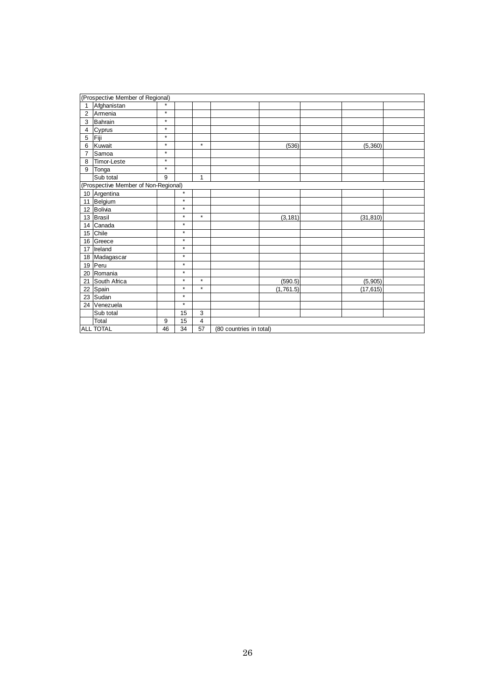|                | (Prospective Member of Regional)     |         |         |                |                         |           |           |  |
|----------------|--------------------------------------|---------|---------|----------------|-------------------------|-----------|-----------|--|
| 1              | Afghanistan                          | $\star$ |         |                |                         |           |           |  |
| 2              | Armenia                              | $\star$ |         |                |                         |           |           |  |
| 3              | Bahrain                              | $\star$ |         |                |                         |           |           |  |
| $\overline{4}$ | Cyprus                               | $\star$ |         |                |                         |           |           |  |
| 5              | Fiji                                 | $\star$ |         |                |                         |           |           |  |
| 6              | Kuwait                               | $\star$ |         | $\star$        |                         | (536)     | (5, 360)  |  |
| $\overline{7}$ | Samoa                                | $\star$ |         |                |                         |           |           |  |
| 8              | Timor-Leste                          | $\star$ |         |                |                         |           |           |  |
| 9              | Tonga                                | $\star$ |         |                |                         |           |           |  |
|                | Sub total                            | 9       |         | $\mathbf{1}$   |                         |           |           |  |
|                | (Prospective Member of Non-Regional) |         |         |                |                         |           |           |  |
|                | 10 Argentina                         |         | $\star$ |                |                         |           |           |  |
|                | 11 Belgium                           |         | $\star$ |                |                         |           |           |  |
|                | 12 Bolivia                           |         | $\star$ |                |                         |           |           |  |
|                | 13 Brasil                            |         | $\star$ | $\star$        |                         | (3, 181)  | (31, 810) |  |
|                | 14 Canada                            |         | $\star$ |                |                         |           |           |  |
|                | 15 Chile                             |         | $\star$ |                |                         |           |           |  |
|                | 16 Greece                            |         | $\star$ |                |                         |           |           |  |
|                | 17 Ireland                           |         | $\star$ |                |                         |           |           |  |
|                | 18 Madagascar                        |         | $\star$ |                |                         |           |           |  |
|                | 19 Peru                              |         | $\star$ |                |                         |           |           |  |
|                | 20 Romania                           |         | $\star$ |                |                         |           |           |  |
|                | 21 South Africa                      |         | $\star$ | $\star$        |                         | (590.5)   | (5,905)   |  |
|                | 22 Spain                             |         | $\star$ | $\star$        |                         | (1,761.5) | (17, 615) |  |
|                | 23 Sudan                             |         | $\star$ |                |                         |           |           |  |
|                | 24 Venezuela                         |         | $\star$ |                |                         |           |           |  |
|                | Sub total                            |         | 15      | 3              |                         |           |           |  |
|                | Total                                | 9       | 15      | $\overline{4}$ |                         |           |           |  |
|                | <b>ALL TOTAL</b>                     | 46      | 34      | 57             | (80 countries in total) |           |           |  |
|                |                                      |         |         |                |                         |           |           |  |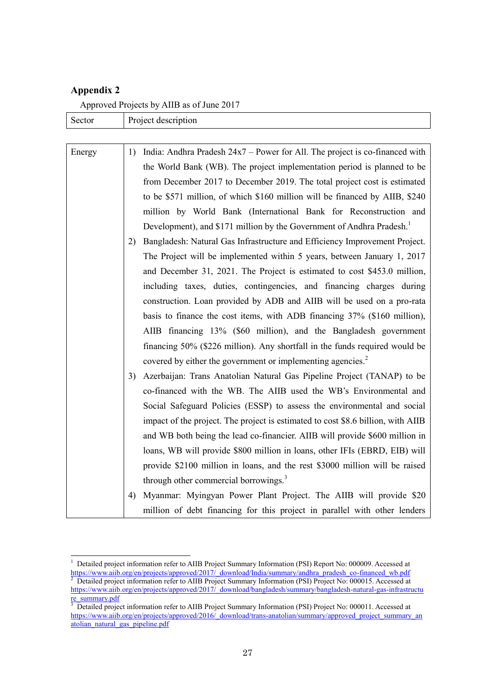## **Appendix 2**

Approved Projects by AIIB as of June 2017

| Sector | Project description                                                                 |  |  |  |  |  |
|--------|-------------------------------------------------------------------------------------|--|--|--|--|--|
|        |                                                                                     |  |  |  |  |  |
| Energy | India: Andhra Pradesh $24x7$ – Power for All. The project is co-financed with<br>1) |  |  |  |  |  |
|        | the World Bank (WB). The project implementation period is planned to be             |  |  |  |  |  |
|        | from December 2017 to December 2019. The total project cost is estimated            |  |  |  |  |  |
|        | to be \$571 million, of which \$160 million will be financed by AIIB, \$240         |  |  |  |  |  |
|        | million by World Bank (International Bank for Reconstruction and                    |  |  |  |  |  |
|        | Development), and \$171 million by the Government of Andhra Pradesh. <sup>1</sup>   |  |  |  |  |  |
|        | Bangladesh: Natural Gas Infrastructure and Efficiency Improvement Project.<br>2)    |  |  |  |  |  |
|        | The Project will be implemented within 5 years, between January 1, 2017             |  |  |  |  |  |
|        | and December 31, 2021. The Project is estimated to cost \$453.0 million,            |  |  |  |  |  |
|        | including taxes, duties, contingencies, and financing charges during                |  |  |  |  |  |
|        | construction. Loan provided by ADB and AIIB will be used on a pro-rata              |  |  |  |  |  |
|        | basis to finance the cost items, with ADB financing 37% (\$160 million),            |  |  |  |  |  |
|        | AIIB financing 13% (\$60 million), and the Bangladesh government                    |  |  |  |  |  |
|        | financing 50% (\$226 million). Any shortfall in the funds required would be         |  |  |  |  |  |
|        | covered by either the government or implementing agencies. <sup>2</sup>             |  |  |  |  |  |
|        | Azerbaijan: Trans Anatolian Natural Gas Pipeline Project (TANAP) to be<br>3)        |  |  |  |  |  |
|        | co-financed with the WB. The AIIB used the WB's Environmental and                   |  |  |  |  |  |
|        | Social Safeguard Policies (ESSP) to assess the environmental and social             |  |  |  |  |  |
|        | impact of the project. The project is estimated to cost \$8.6 billion, with AIIB    |  |  |  |  |  |
|        | and WB both being the lead co-financier. AIIB will provide \$600 million in         |  |  |  |  |  |
|        | loans, WB will provide \$800 million in loans, other IFIs (EBRD, EIB) will          |  |  |  |  |  |
|        | provide \$2100 million in loans, and the rest \$3000 million will be raised         |  |  |  |  |  |
|        | through other commercial borrowings. <sup>3</sup>                                   |  |  |  |  |  |
|        | Myanmar: Myingyan Power Plant Project. The AIIB will provide \$20<br>4)             |  |  |  |  |  |
|        | million of debt financing for this project in parallel with other lenders           |  |  |  |  |  |

 $\frac{1}{1}$  Detailed project information refer to AIIB Project Summary Information (PSI) Report No: 000009. Accessed at [https://www.aiib.org/en/projects/approved/2017/\\_download/India/summary/andhra\\_pradesh\\_co-financed\\_wb.pdf](https://www.aiib.org/en/projects/approved/2017/_download/India/summary/andhra_pradesh_co-financed_wb.pdf)  $\frac{2}{5}$  Detailed project information refer to AIIB Project Summary Information (PSI) Project No. 000015, Accessed a Detailed project information refer to AIIB Project Summary Information (PSI) Project No: 000015. Accessed at [https://www.aiib.org/en/projects/approved/2017/\\_download/bangladesh/summary/bangladesh-natural-gas-infrastructu](https://www.aiib.org/en/projects/approved/2017/_download/bangladesh/summary/bangladesh-natural-gas-infrastructure_summary.pdf)  $\frac{re\_summary.pdf}{3 \cdot Detailed \cdot price}$ 

Detailed project information refer to AIIB Project Summary Information (PSI) Project No: 000011. Accessed at [https://www.aiib.org/en/projects/approved/2016/\\_download/trans-anatolian/summary/approved\\_project\\_summary\\_an](https://www.aiib.org/en/projects/approved/2016/_download/trans-anatolian/summary/approved_project_summary_anatolian_natural_gas_pipeline.pdf) [atolian\\_natural\\_gas\\_pipeline.pdf](https://www.aiib.org/en/projects/approved/2016/_download/trans-anatolian/summary/approved_project_summary_anatolian_natural_gas_pipeline.pdf)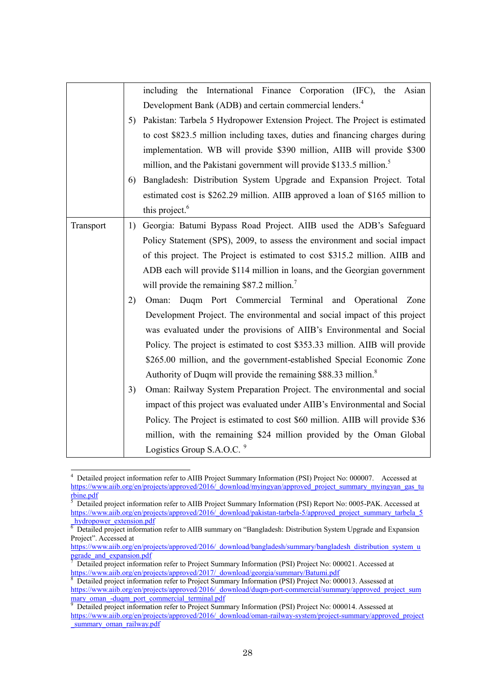|           |    | including the International Finance Corporation (IFC), the Asian                 |  |  |  |  |  |
|-----------|----|----------------------------------------------------------------------------------|--|--|--|--|--|
|           |    | Development Bank (ADB) and certain commercial lenders. <sup>4</sup>              |  |  |  |  |  |
|           | 5) | Pakistan: Tarbela 5 Hydropower Extension Project. The Project is estimated       |  |  |  |  |  |
|           |    | to cost \$823.5 million including taxes, duties and financing charges during     |  |  |  |  |  |
|           |    | implementation. WB will provide \$390 million, AIIB will provide \$300           |  |  |  |  |  |
|           |    | million, and the Pakistani government will provide \$133.5 million. <sup>5</sup> |  |  |  |  |  |
|           | 6) | Bangladesh: Distribution System Upgrade and Expansion Project. Total             |  |  |  |  |  |
|           |    | estimated cost is \$262.29 million. AIIB approved a loan of \$165 million to     |  |  |  |  |  |
|           |    | this project. <sup>6</sup>                                                       |  |  |  |  |  |
| Transport | 1) | Georgia: Batumi Bypass Road Project. AIIB used the ADB's Safeguard               |  |  |  |  |  |
|           |    | Policy Statement (SPS), 2009, to assess the environment and social impact        |  |  |  |  |  |
|           |    | of this project. The Project is estimated to cost \$315.2 million. AIIB and      |  |  |  |  |  |
|           |    | ADB each will provide \$114 million in loans, and the Georgian government        |  |  |  |  |  |
|           |    | will provide the remaining \$87.2 million. <sup>7</sup>                          |  |  |  |  |  |
|           | 2) | Oman: Duqm Port Commercial Terminal and Operational Zone                         |  |  |  |  |  |
|           |    | Development Project. The environmental and social impact of this project         |  |  |  |  |  |
|           |    | was evaluated under the provisions of AIIB's Environmental and Social            |  |  |  |  |  |
|           |    | Policy. The project is estimated to cost \$353.33 million. AIIB will provide     |  |  |  |  |  |
|           |    | \$265.00 million, and the government-established Special Economic Zone           |  |  |  |  |  |
|           |    | Authority of Duqm will provide the remaining \$88.33 million. <sup>8</sup>       |  |  |  |  |  |
|           | 3) | Oman: Railway System Preparation Project. The environmental and social           |  |  |  |  |  |
|           |    | impact of this project was evaluated under AIIB's Environmental and Social       |  |  |  |  |  |
|           |    | Policy. The Project is estimated to cost \$60 million. AIIB will provide \$36    |  |  |  |  |  |
|           |    | million, with the remaining \$24 million provided by the Oman Global             |  |  |  |  |  |
|           |    | Logistics Group S.A.O.C. <sup>9</sup>                                            |  |  |  |  |  |

 4 Detailed project information refer to AIIB Project Summary Information (PSI) Project No: 000007. Accessed at [https://www.aiib.org/en/projects/approved/2016/\\_download/myingyan/approved\\_project\\_summary\\_myingyan\\_gas\\_tu](https://www.aiib.org/en/projects/approved/2016/_download/myingyan/approved_project_summary_myingyan_gas_turbine.pdf)  $\frac{\text{rbine.pdf}}{5 \text{ Dotaile}}$ 

Detailed project information refer to AIIB Project Summary Information (PSI) Report No: 0005-PAK. Accessed at [https://www.aiib.org/en/projects/approved/2016/\\_download/pakistan-tarbela-5/approved\\_project\\_summary\\_tarbela\\_5](https://www.aiib.org/en/projects/approved/2016/_download/pakistan-tarbela-5/approved_project_summary_tarbela_5_hydropower_extension.pdf) hydropower\_extension.pdf

 $\overline{6}$  Detailed project information refer to AIIB summary on "Bangladesh: Distribution System Upgrade and Expansion Project". Accessed at

[https://www.aiib.org/en/projects/approved/2016/\\_download/bangladesh/summary/bangladesh\\_distribution\\_system\\_u](https://www.aiib.org/en/projects/approved/2016/_download/bangladesh/summary/bangladesh_distribution_system_upgrade_and_expansion.pdf) pgrade\_and\_expansion.pdf<br>
<sup>7</sup> Detailed project informat

Detailed project information refer to Project Summary Information (PSI) Project No: 000021. Accessed at https://www.aiib.org/en/projects/approved/2017/\_download/georgia/summary/Batumi.pdf<br><sup>8</sup> Detailed arcicet information refer to Project Summary Information (PSI) Project No: 00

Detailed project information refer to Project Summary Information (PSI) Project No: 000013. Assessed at [https://www.aiib.org/en/projects/approved/2016/\\_download/duqm-port-commercial/summary/approved\\_project\\_sum](https://www.aiib.org/en/projects/approved/2016/_download/duqm-port-commercial/summary/approved_project_summary_oman_-duqm_port_commercial_terminal.pdf) mary\_oman\_-duqm\_port\_commercial\_terminal.pdf

<sup>9</sup> Detailed project information refer to Project Summary Information (PSI) Project No: 000014. Assessed at [https://www.aiib.org/en/projects/approved/2016/\\_download/oman-railway-system/project-summary/approved\\_project](https://www.aiib.org/en/projects/approved/2016/_download/oman-railway-system/project-summary/approved_project_summary_oman_railway.pdf) summary\_oman\_railway.pdf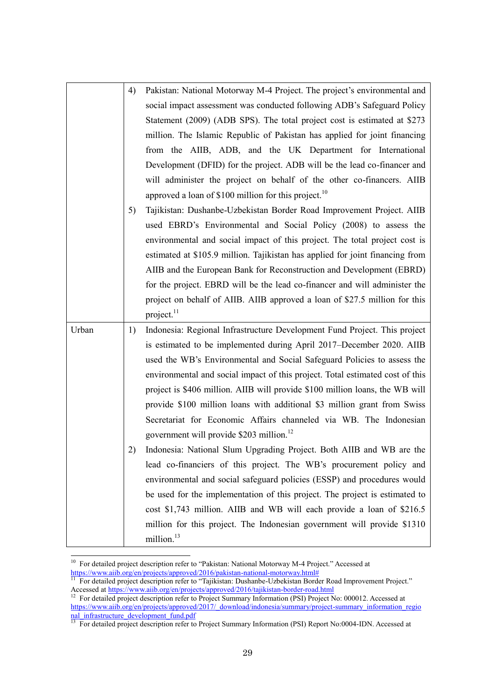|       | 4)<br>5) | Pakistan: National Motorway M-4 Project. The project's environmental and<br>social impact assessment was conducted following ADB's Safeguard Policy<br>Statement (2009) (ADB SPS). The total project cost is estimated at \$273<br>million. The Islamic Republic of Pakistan has applied for joint financing<br>from the AIIB, ADB, and the UK Department for International<br>Development (DFID) for the project. ADB will be the lead co-financer and<br>will administer the project on behalf of the other co-financers. AIIB<br>approved a loan of \$100 million for this project. <sup>10</sup><br>Tajikistan: Dushanbe-Uzbekistan Border Road Improvement Project. AIIB                                                                         |
|-------|----------|-------------------------------------------------------------------------------------------------------------------------------------------------------------------------------------------------------------------------------------------------------------------------------------------------------------------------------------------------------------------------------------------------------------------------------------------------------------------------------------------------------------------------------------------------------------------------------------------------------------------------------------------------------------------------------------------------------------------------------------------------------|
|       |          | used EBRD's Environmental and Social Policy (2008) to assess the<br>environmental and social impact of this project. The total project cost is<br>estimated at \$105.9 million. Tajikistan has applied for joint financing from<br>AIIB and the European Bank for Reconstruction and Development (EBRD)<br>for the project. EBRD will be the lead co-financer and will administer the<br>project on behalf of AIIB. AIIB approved a loan of \$27.5 million for this<br>project. <sup>11</sup>                                                                                                                                                                                                                                                         |
| Urban | 1)<br>2) | Indonesia: Regional Infrastructure Development Fund Project. This project<br>is estimated to be implemented during April 2017–December 2020. AIIB<br>used the WB's Environmental and Social Safeguard Policies to assess the<br>environmental and social impact of this project. Total estimated cost of this<br>project is \$406 million. AIIB will provide \$100 million loans, the WB will<br>provide \$100 million loans with additional \$3 million grant from Swiss<br>Secretariat for Economic Affairs channeled via WB. The Indonesian<br>government will provide \$203 million. <sup>12</sup><br>Indonesia: National Slum Upgrading Project. Both AIIB and WB are the<br>lead co-financiers of this project. The WB's procurement policy and |
|       |          | environmental and social safeguard policies (ESSP) and procedures would<br>be used for the implementation of this project. The project is estimated to<br>cost \$1,743 million. AIIB and WB will each provide a loan of \$216.5<br>million for this project. The Indonesian government will provide \$1310<br>million. <sup>13</sup>                                                                                                                                                                                                                                                                                                                                                                                                                  |

<sup>&</sup>lt;sup>10</sup> For detailed project description refer to "Pakistan: National Motorway M-4 Project." Accessed at [https://www.aiib.org/en/projects/approved/2016/pakistan-national-motorway.html#](https://www.aiib.org/en/projects/approved/2016/pakistan-national-motorway.html) 

 $\overline{a}$ 

<sup>&</sup>lt;sup>11</sup> For detailed project description refer to "Tajikistan: Dushanbe-Uzbekistan Border Road Improvement Project." Accessed at https://www.aiib.org/en/projects/approved/2016/tajikistan-border-road.html

<sup>&</sup>lt;sup>12</sup> For detailed project description refer to Project Summary Information (PSI) Project No: 000012. Accessed at [https://www.aiib.org/en/projects/approved/2017/\\_download/indonesia/summary/project-summary\\_information\\_regio](https://www.aiib.org/en/projects/approved/2017/_download/indonesia/summary/project-summary_information_regional_infrastructure_development_fund.pdf) nal\_infrastructure\_development\_fund.pdf

<sup>&</sup>lt;sup>13</sup> For detailed project description refer to Project Summary Information (PSI) Report No:0004-IDN. Accessed at